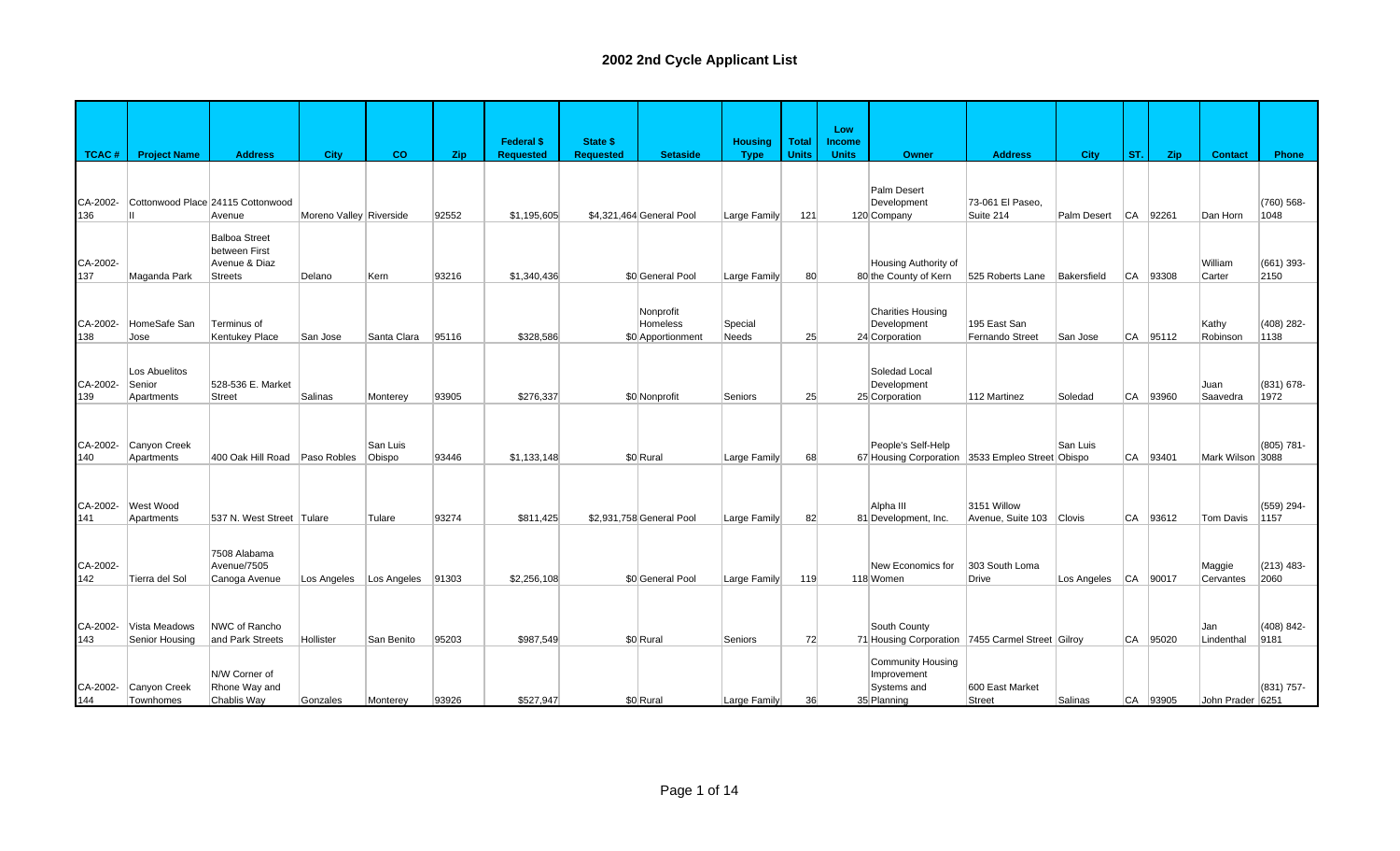|                 |                           |                                    |                         |             |       |                   |                  |                          |                |              | Low           |                                                  |                                  |                          |            |            |                   |                    |
|-----------------|---------------------------|------------------------------------|-------------------------|-------------|-------|-------------------|------------------|--------------------------|----------------|--------------|---------------|--------------------------------------------------|----------------------------------|--------------------------|------------|------------|-------------------|--------------------|
|                 |                           |                                    |                         |             |       | <b>Federal \$</b> | <b>State \$</b>  |                          | <b>Housing</b> | <b>Total</b> | <b>Income</b> |                                                  |                                  |                          |            |            |                   |                    |
| TCAC#           | <b>Project Name</b>       | <b>Address</b>                     | <b>City</b>             | <b>CO</b>   | Zip   | <b>Requested</b>  | <b>Requested</b> | <b>Setaside</b>          | <b>Type</b>    | <b>Units</b> | <b>Units</b>  | <b>Owner</b>                                     | <b>Address</b>                   | <b>City</b>              | ST.        | <b>Zip</b> | <b>Contact</b>    | Phone              |
|                 |                           |                                    |                         |             |       |                   |                  |                          |                |              |               |                                                  |                                  |                          |            |            |                   |                    |
| CA-2002-        |                           | Cottonwood Place 24115 Cottonwood  |                         |             |       |                   |                  |                          |                |              |               | Palm Desert<br>Development                       | 73-061 El Paseo.                 |                          |            |            |                   | (760) 568-         |
| 136             |                           | Avenue                             | Moreno Valley Riverside |             | 92552 | \$1.195.605       |                  | \$4,321,464 General Pool | Large Family   | 121          |               | 120 Company                                      | Suite 214                        | Palm Desert              | <b>ICA</b> | 92261      | Dan Horn          | 1048               |
|                 |                           | <b>Balboa Street</b>               |                         |             |       |                   |                  |                          |                |              |               |                                                  |                                  |                          |            |            |                   |                    |
|                 |                           | between First                      |                         |             |       |                   |                  |                          |                |              |               |                                                  |                                  |                          |            |            |                   |                    |
| CA-2002-<br>137 | Maganda Park              | Avenue & Diaz<br><b>Streets</b>    | Delano                  | Kern        | 93216 | \$1,340,436       |                  | \$0 General Pool         | Large Family   | 80           |               | Housing Authority of<br>80 the County of Kern    | 525 Roberts Lane                 | Bakersfield              |            | CA 93308   | William<br>Carter | (661) 393-<br>2150 |
|                 |                           |                                    |                         |             |       |                   |                  |                          |                |              |               |                                                  |                                  |                          |            |            |                   |                    |
|                 |                           |                                    |                         |             |       |                   |                  | Nonprofit                |                |              |               | <b>Charities Housing</b>                         |                                  |                          |            |            |                   |                    |
| CA-2002-        | HomeSafe San              | Terminus of                        |                         |             |       |                   |                  | Homeless                 | Special        |              |               | Development                                      | 195 East San                     |                          |            |            | Kathy             | $(408)$ 282-       |
| 138             | Jose                      | <b>Kentukey Place</b>              | San Jose                | Santa Clara | 95116 | \$328,586         |                  | \$0 Apportionment        | Needs          | 25           |               | 24 Corporation                                   | Fernando Street                  | San Jose                 |            | $CA$ 95112 | Robinson          | 1138               |
|                 |                           |                                    |                         |             |       |                   |                  |                          |                |              |               |                                                  |                                  |                          |            |            |                   |                    |
|                 | Los Abuelitos             |                                    |                         |             |       |                   |                  |                          |                |              |               | Soledad Local                                    |                                  |                          |            |            |                   |                    |
| CA-2002-<br>139 | Senior<br>Apartments      | 528-536 E. Market<br><b>Street</b> | Salinas                 | Monterey    | 93905 | \$276,337         |                  | \$0 Nonprofit            | Seniors        | 25           |               | Development<br>25 Corporation                    | 112 Martinez                     | Soledad                  | <b>CA</b>  | 93960      | Juan<br>Saavedra  | (831) 678-<br>1972 |
|                 |                           |                                    |                         |             |       |                   |                  |                          |                |              |               |                                                  |                                  |                          |            |            |                   |                    |
|                 |                           |                                    |                         |             |       |                   |                  |                          |                |              |               |                                                  |                                  |                          |            |            |                   |                    |
| CA-2002-        | Canyon Creek              |                                    |                         | San Luis    |       |                   |                  |                          |                |              |               | People's Self-Help                               |                                  | San Luis                 |            |            |                   | (805) 781-         |
| 140             | Apartments                | 400 Oak Hill Road Paso Robles      |                         | Obispo      | 93446 | \$1,133,148       |                  | \$0 Rural                | Large Family   | 68           |               | 67 Housing Corporation 3533 Empleo Street Obispo |                                  |                          |            | CA 93401   | Mark Wilson 3088  |                    |
|                 |                           |                                    |                         |             |       |                   |                  |                          |                |              |               |                                                  |                                  |                          |            |            |                   |                    |
| CA-2002-        | West Wood                 |                                    |                         |             |       |                   |                  |                          |                |              |               | Alpha III                                        | 3151 Willow                      |                          |            |            |                   | (559) 294-         |
| 141             | Apartments                | 537 N. West Street Tulare          |                         | Tulare      | 93274 | \$811,425         |                  | \$2,931,758 General Pool | Large Family   | 82           |               | 81 Development, Inc.                             | Avenue, Suite 103 Clovis         |                          | <b>CA</b>  | 93612      | Tom Davis         | 1157               |
|                 |                           |                                    |                         |             |       |                   |                  |                          |                |              |               |                                                  |                                  |                          |            |            |                   |                    |
|                 |                           | 7508 Alabama                       |                         |             |       |                   |                  |                          |                |              |               |                                                  |                                  |                          |            |            |                   |                    |
| CA-2002-        |                           | Avenue/7505                        |                         |             |       |                   |                  |                          |                |              |               | New Economics for                                | 303 South Loma                   |                          |            |            | Maggie            | $(213)$ 483-       |
| 142             | Tierra del Sol            | Canoga Avenue                      | Los Angeles             | Los Angeles | 91303 | \$2,256,108       |                  | \$0 General Pool         | Large Family   | 119          |               | 118 Women                                        | <b>Drive</b>                     | Los Angeles   CA   90017 |            |            | Cervantes         | 2060               |
|                 |                           |                                    |                         |             |       |                   |                  |                          |                |              |               |                                                  |                                  |                          |            |            |                   |                    |
| CA-2002-        | Vista Meadows             | NWC of Rancho                      |                         |             |       |                   |                  |                          |                |              |               | South County                                     |                                  |                          |            |            | Jan               | $(408) 842 -$      |
| 143             | Senior Housing            | and Park Streets                   | Hollister               | San Benito  | 95203 | \$987.549         |                  | \$0 Rural                | Seniors        | 72           |               | 71 Housing Corporation 7455 Carmel Street Gilroy |                                  |                          | <b>CA</b>  | 95020      | Lindenthal        | 9181               |
|                 |                           |                                    |                         |             |       |                   |                  |                          |                |              |               | Community Housing                                |                                  |                          |            |            |                   |                    |
|                 |                           | N/W Corner of                      |                         |             |       |                   |                  |                          |                |              |               | Improvement                                      |                                  |                          |            |            |                   |                    |
| CA-2002-        | Canyon Creek<br>Townhomes | Rhone Way and                      |                         |             | 93926 | \$527.947         |                  | \$0 Rural                |                |              |               | Systems and<br>35 Planning                       | 600 East Market<br><b>Street</b> | Salinas                  |            |            |                   | (831) 757-         |
| 144             |                           | Chablis Way                        | Gonzales                | Monterev    |       |                   |                  |                          | Large Family   | 36           |               |                                                  |                                  |                          |            | CA 93905   | John Prader 6251  |                    |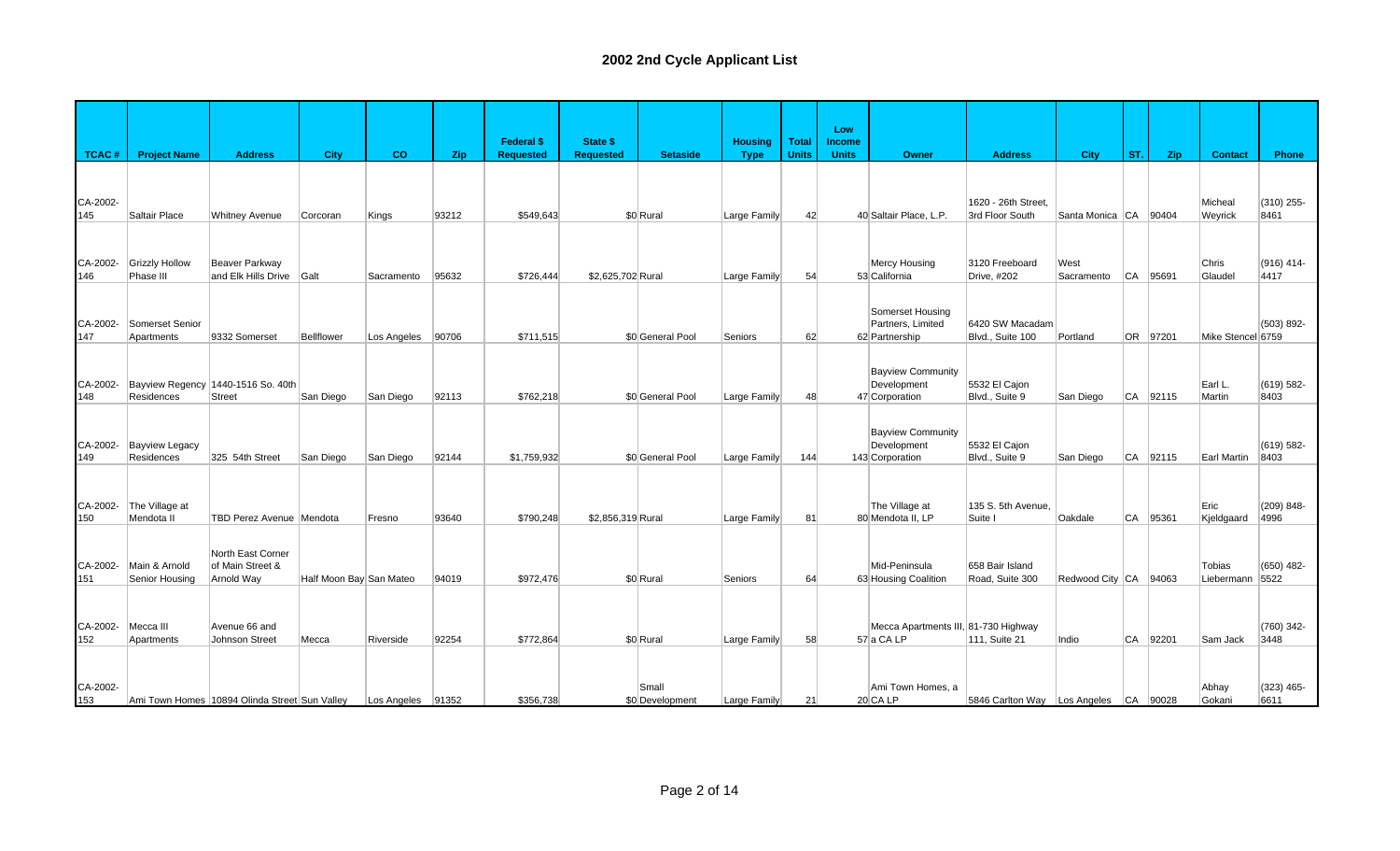|                 |                                     |                                                     |                         |                   |       | <b>Federal \$</b> | <b>State \$</b>   |                          | <b>Housing</b> | <b>Total</b> | Low<br><b>Income</b> |                                                            |                                        |                       |           |          |                      |                       |
|-----------------|-------------------------------------|-----------------------------------------------------|-------------------------|-------------------|-------|-------------------|-------------------|--------------------------|----------------|--------------|----------------------|------------------------------------------------------------|----------------------------------------|-----------------------|-----------|----------|----------------------|-----------------------|
| <b>TCAC#</b>    | <b>Project Name</b>                 | <b>Address</b>                                      | <b>City</b>             | co                | Zip   | <b>Requested</b>  | <b>Requested</b>  | <b>Setaside</b>          | <b>Type</b>    | <b>Units</b> | <b>Units</b>         | Owner                                                      | <b>Address</b>                         | <b>City</b>           | ST.       | Zip      | <b>Contact</b>       | Phone                 |
| CA-2002-<br>145 | Saltair Place                       | <b>Whitney Avenue</b>                               | Corcoran                | Kings             | 93212 | \$549,643         |                   | \$0 Rural                | Large Family   | 42           |                      | 40 Saltair Place, L.P.                                     | 1620 - 26th Street,<br>3rd Floor South | Santa Monica CA       |           | 90404    | Micheal<br>Weyrick   | (310) 255-<br>8461    |
| CA-2002-<br>146 | <b>Grizzly Hollow</b><br>Phase III  | Beaver Parkway<br>and Elk Hills Drive Galt          |                         | Sacramento        | 95632 | \$726,444         | \$2,625,702 Rural |                          | Large Family   | 54           |                      | <b>Mercy Housing</b><br>53 California                      | 3120 Freeboard<br>Drive, #202          | West<br>Sacramento    | <b>CA</b> | 95691    | Chris<br>Glaudel     | (916) 414-<br>4417    |
| CA-2002-<br>147 | Somerset Senior<br>Apartments       | 9332 Somerset                                       | Bellflower              | Los Angeles       | 90706 | \$711,515         |                   | \$0 General Pool         | Seniors        | 62           |                      | Somerset Housing<br>Partners, Limited<br>62 Partnership    | 6420 SW Macadam<br>Blvd., Suite 100    | Portland              |           | OR 97201 | Mike Stencel 6759    | (503) 892-            |
| CA-2002-<br>148 | Residences                          | Bayview Regency 1440-1516 So. 40th<br><b>Street</b> | San Diego               | San Diego         | 92113 | \$762,218         |                   | \$0 General Pool         | Large Family   | 48           |                      | <b>Bayview Community</b><br>Development<br>47 Corporation  | 5532 El Cajon<br>Blvd., Suite 9        | San Diego             |           | CA 92115 | Earl L.<br>Martin    | $(619) 582 -$<br>8403 |
| CA-2002-<br>149 | <b>Bayview Legacy</b><br>Residences | 325 54th Street                                     | San Diego               | San Diego         | 92144 | \$1,759,932       |                   | \$0 General Pool         | Large Family   | 144          |                      | <b>Bayview Community</b><br>Development<br>143 Corporation | 5532 El Cajon<br>Blvd., Suite 9        | San Diego             |           | CA 92115 | Earl Martin          | $(619) 582 -$<br>8403 |
| CA-2002-<br>150 | The Village at<br>Mendota II        | TBD Perez Avenue   Mendota                          |                         | Fresno            | 93640 | \$790,248         | \$2,856,319 Rural |                          | Large Family   | 81           |                      | The Village at<br>80 Mendota II, LP                        | 135 S. 5th Avenue,<br>Suite I          | Oakdale               | <b>CA</b> | 95361    | Eric<br>Kjeldgaard   | $(209) 848 -$<br>4996 |
| CA-2002-<br>151 | Main & Arnold<br>Senior Housing     | North East Corner<br>of Main Street &<br>Arnold Way | Half Moon Bay San Mateo |                   | 94019 | \$972.476         |                   | \$0 Rural                | Seniors        | 64           |                      | Mid-Peninsula<br>63 Housing Coalition                      | 658 Bair Island<br>Road, Suite 300     | Redwood City CA 94063 |           |          | Tobias<br>Liebermann | $(650)$ 482-<br>5522  |
| CA-2002-<br>152 | Mecca III<br>Apartments             | Avenue 66 and<br><b>Johnson Street</b>              | Mecca                   | Riverside         | 92254 | \$772,864         |                   | \$0 Rural                | Large Family   | 58           |                      | Mecca Apartments III, 81-730 Highway<br>57 a CA LP         | 111, Suite 21                          | Indio                 | CA        | 92201    | Sam Jack             | $(760)$ 342-<br>3448  |
| CA-2002-<br>153 |                                     | Ami Town Homes 10894 Olinda Street Sun Valley       |                         | Los Angeles 91352 |       | \$356,738         |                   | Small<br>\$0 Development | Large Family   | 21           |                      | Ami Town Homes, a<br>$20$ CA LP                            | 5846 Carlton Way Los Angeles CA 90028  |                       |           |          | Abhay<br>Gokani      | $(323)$ 465-<br>6611  |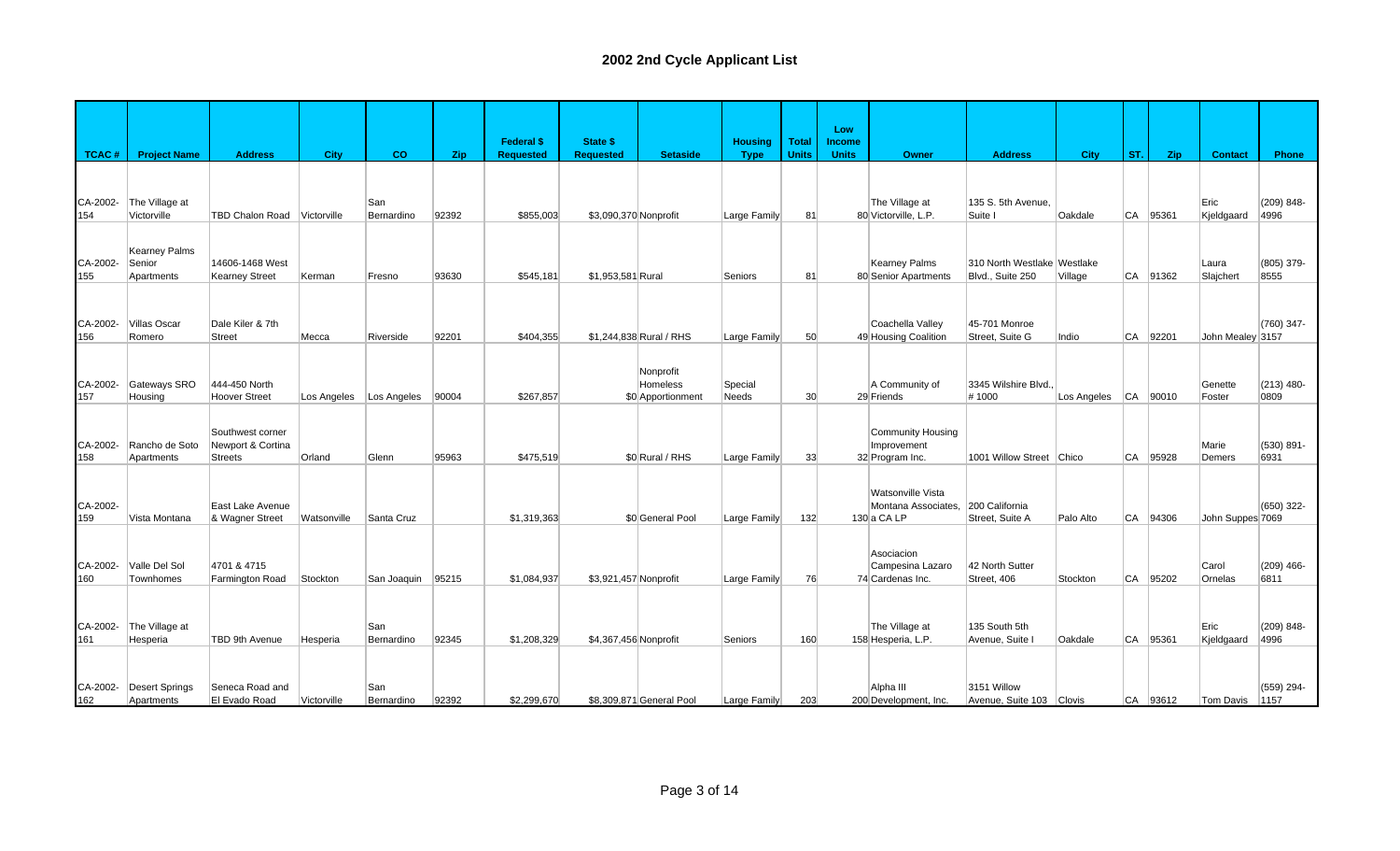|                 |                               |                        |             |                   |       | <b>Federal \$</b> | <b>State \$</b>       |                          | <b>Housing</b> | <b>Total</b> | Low<br><b>Income</b> |                                        |                                  |                          |           |          |                    |                    |
|-----------------|-------------------------------|------------------------|-------------|-------------------|-------|-------------------|-----------------------|--------------------------|----------------|--------------|----------------------|----------------------------------------|----------------------------------|--------------------------|-----------|----------|--------------------|--------------------|
| <b>TCAC#</b>    | <b>Project Name</b>           | <b>Address</b>         | City        | co                | Zip   | <b>Requested</b>  | <b>Requested</b>      | <b>Setaside</b>          | <b>Type</b>    | <b>Units</b> | <b>Units</b>         | <b>Owner</b>                           | <b>Address</b>                   | <b>City</b>              | ST.       | Zip      | <b>Contact</b>     | Phone              |
|                 |                               |                        |             |                   |       |                   |                       |                          |                |              |                      |                                        |                                  |                          |           |          |                    |                    |
| CA-2002-<br>154 | The Village at<br>Victorville | <b>TBD Chalon Road</b> | Victorville | San<br>Bernardino | 92392 | \$855,003         | \$3,090,370 Nonprofit |                          | Large Family   | 81           |                      | The Village at<br>80 Victorville, L.P. | 135 S. 5th Avenue.<br>Suite I    | Oakdale                  | CA        | 95361    | Eric<br>Kjeldgaard | (209) 848-<br>4996 |
|                 |                               |                        |             |                   |       |                   |                       |                          |                |              |                      |                                        |                                  |                          |           |          |                    |                    |
|                 | <b>Kearney Palms</b>          |                        |             |                   |       |                   |                       |                          |                |              |                      |                                        |                                  |                          |           |          |                    |                    |
| CA-2002-        | Senior                        | 14606-1468 West        |             |                   |       | \$545.181         |                       |                          |                |              |                      | <b>Kearney Palms</b>                   | 310 North Westlake Westlake      |                          |           |          | Laura              | (805) 379-<br>8555 |
| 155             | Apartments                    | <b>Kearney Street</b>  | Kerman      | Fresno            | 93630 |                   | \$1,953,581 Rural     |                          | Seniors        | 81           |                      | 80 Senior Apartments                   | Blvd., Suite 250                 | Village                  | CA        | 91362    | Slajchert          |                    |
|                 |                               |                        |             |                   |       |                   |                       |                          |                |              |                      |                                        |                                  |                          |           |          |                    |                    |
| CA-2002-        | <b>Villas Oscar</b>           | Dale Kiler & 7th       |             |                   |       |                   |                       |                          |                |              |                      | Coachella Valley                       | 45-701 Monroe                    |                          |           |          |                    | (760) 347-         |
| 156             | Romero                        | <b>Street</b>          | Mecca       | Riverside         | 92201 | \$404,355         |                       | \$1,244,838 Rural / RHS  | Large Family   | 50           |                      | 49 Housing Coalition                   | Street, Suite G                  | Indio                    | CA        | 92201    | John Mealey 3157   |                    |
|                 |                               |                        |             |                   |       |                   |                       |                          |                |              |                      |                                        |                                  |                          |           |          |                    |                    |
| CA-2002-        | Gateways SRO                  | 444-450 North          |             |                   |       |                   |                       | Nonprofit<br>Homeless    | Special        |              |                      | A Community of                         | 3345 Wilshire Blvd.              |                          |           |          | Genette            | $(213)$ 480-       |
| 157             | Housing                       | <b>Hoover Street</b>   | Los Angeles | Los Angeles       | 90004 | \$267,857         |                       | \$0 Apportionment        | <b>Needs</b>   | 30           |                      | 29 Friends                             | #1000                            | Los Angeles   CA   90010 |           |          | Foster             | 0809               |
|                 |                               |                        |             |                   |       |                   |                       |                          |                |              |                      |                                        |                                  |                          |           |          |                    |                    |
|                 |                               | Southwest corner       |             |                   |       |                   |                       |                          |                |              |                      | Community Housing                      |                                  |                          |           |          |                    |                    |
| CA-2002-<br>158 | Rancho de Soto                | Newport & Cortina      | Orland      |                   | 95963 | \$475,519         |                       | \$0 Rural / RHS          |                |              |                      | Improvement                            | 1001 Willow Street Chico         |                          | CA        | 95928    | Marie              | (530) 891-<br>6931 |
|                 | Apartments                    | <b>Streets</b>         |             | Glenn             |       |                   |                       |                          | Large Family   | 33           |                      | 32 Program Inc.                        |                                  |                          |           |          | Demers             |                    |
|                 |                               |                        |             |                   |       |                   |                       |                          |                |              |                      | Watsonville Vista                      |                                  |                          |           |          |                    |                    |
| CA-2002-        |                               | East Lake Avenue       |             |                   |       |                   |                       |                          |                |              |                      | Montana Associates,                    | 200 California                   |                          |           |          |                    | (650) 322-         |
| 159             | Vista Montana                 | & Wagner Street        | Watsonville | Santa Cruz        |       | \$1,319,363       |                       | \$0 General Pool         | Large Family   | 132          |                      | $130a$ CA LP                           | Street, Suite A                  | Palo Alto                |           | CA 94306 | John Suppes 7069   |                    |
|                 |                               |                        |             |                   |       |                   |                       |                          |                |              |                      |                                        |                                  |                          |           |          |                    |                    |
| CA-2002-        | Valle Del Sol                 | 4701 & 4715            |             |                   |       |                   |                       |                          |                |              |                      | Asociacion<br>Campesina Lazaro         | 42 North Sutter                  |                          |           |          | Carol              | $(209)$ 466-       |
| 160             | Townhomes                     | Farmington Road        | Stockton    | San Joaquin       | 95215 | \$1.084.937       | \$3,921,457 Nonprofit |                          | Large Family   | 76           |                      | 74 Cardenas Inc.                       | Street, 406                      | Stockton                 | CA        | 95202    | Ornelas            | 6811               |
|                 |                               |                        |             |                   |       |                   |                       |                          |                |              |                      |                                        |                                  |                          |           |          |                    |                    |
|                 |                               |                        |             |                   |       |                   |                       |                          |                |              |                      |                                        |                                  |                          |           |          |                    |                    |
| CA-2002-<br>161 | The Village at<br>Hesperia    | TBD 9th Avenue         | Hesperia    | San<br>Bernardino | 92345 | \$1,208,329       | \$4,367,456 Nonprofit |                          | Seniors        | 160          |                      | The Village at<br>158 Hesperia, L.P.   | 135 South 5th<br>Avenue, Suite I | Oakdale                  | CA        | 95361    | Eric<br>Kjeldgaard | (209) 848-<br>4996 |
|                 |                               |                        |             |                   |       |                   |                       |                          |                |              |                      |                                        |                                  |                          |           |          |                    |                    |
|                 |                               |                        |             |                   |       |                   |                       |                          |                |              |                      |                                        |                                  |                          |           |          |                    |                    |
| CA-2002-        | <b>Desert Springs</b>         | Seneca Road and        |             | San               |       |                   |                       |                          |                |              |                      | Alpha III                              | 3151 Willow                      |                          |           |          |                    | (559) 294-         |
| 162             | Apartments                    | El Evado Road          | Victorville | Bernardino        | 92392 | \$2,299,670       |                       | \$8,309,871 General Pool | Large Family   | 203          |                      | 200 Development, Inc.                  | Avenue, Suite 103 Clovis         |                          | <b>CA</b> | 93612    | Tom Davis          | 1157               |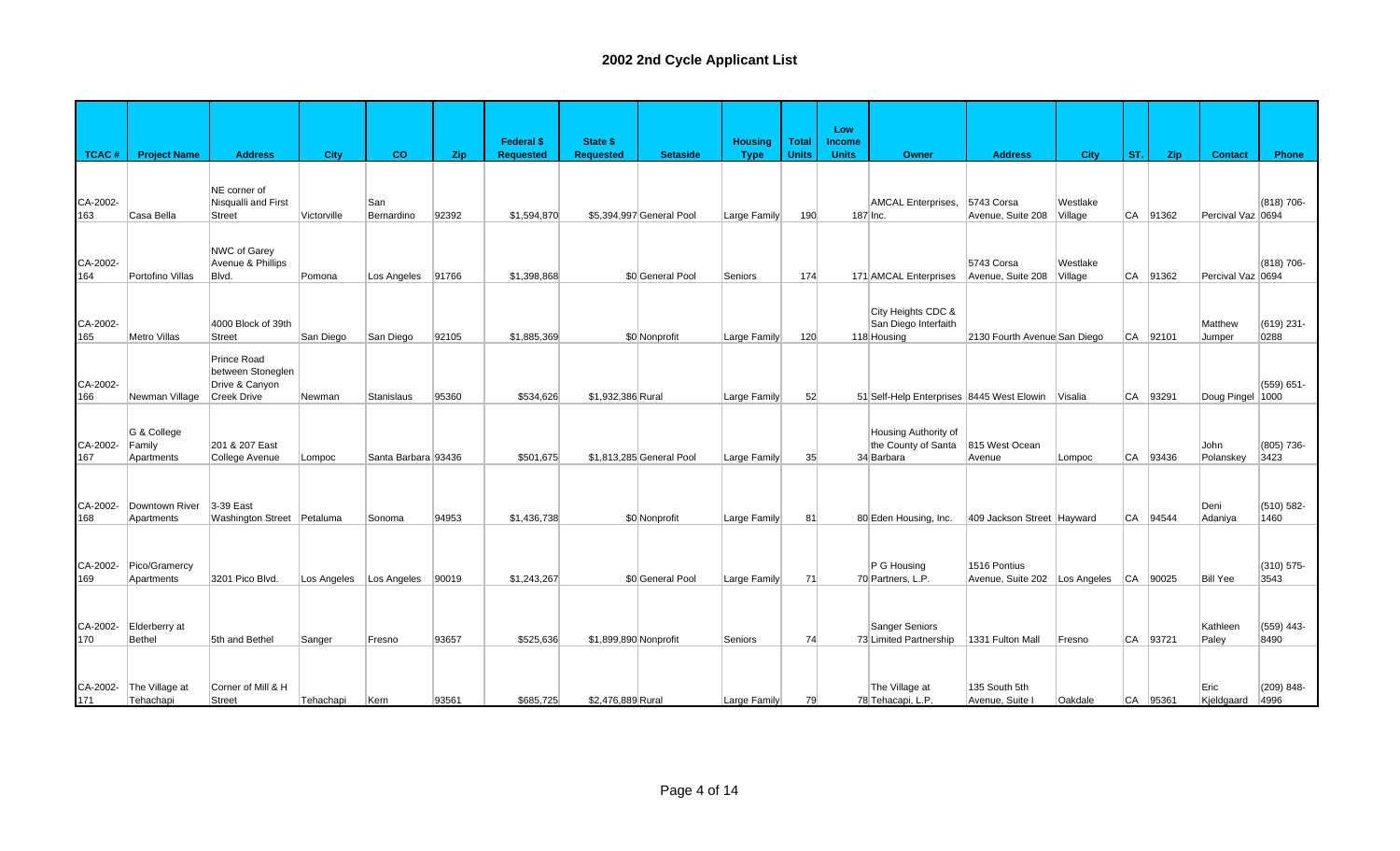|                 |                                     |                                                                          |             |                     |       | <b>Federal \$</b> | <b>State \$</b>       |                          | <b>Housing</b> | <b>Total</b> | Low<br><b>Income</b> |                                                           |                                               |                     |     |          |                    |                       |
|-----------------|-------------------------------------|--------------------------------------------------------------------------|-------------|---------------------|-------|-------------------|-----------------------|--------------------------|----------------|--------------|----------------------|-----------------------------------------------------------|-----------------------------------------------|---------------------|-----|----------|--------------------|-----------------------|
| <b>TCAC#</b>    | <b>Project Name</b>                 | <b>Address</b>                                                           | City        | co                  | Zip   | <b>Requested</b>  | <b>Requested</b>      | <b>Setaside</b>          | <b>Type</b>    | <b>Units</b> | <b>Units</b>         | Owner                                                     | <b>Address</b>                                | <b>City</b>         | ST. | Zip      | <b>Contact</b>     | Phone                 |
| CA-2002-<br>163 | Casa Bella                          | NE corner of<br>Nisqualli and First<br><b>Street</b>                     | Victorville | San<br>Bernardino   | 92392 | \$1,594,870       |                       | \$5,394,997 General Pool | Large Family   | 190          |                      | AMCAL Enterprises,<br>187 Inc.                            | 5743 Corsa<br>Avenue, Suite 208               | Westlake<br>Village | CA  | 91362    | Percival Vaz 0694  | (818) 706-            |
| CA-2002-<br>164 | Portofino Villas                    | NWC of Garey<br>Avenue & Phillips<br>Blvd.                               | Pomona      | Los Angeles         | 91766 | \$1,398,868       |                       | \$0 General Pool         | Seniors        | 174          |                      | 171 AMCAL Enterprises                                     | 5743 Corsa<br>Avenue, Suite 208               | Westlake<br>Village | CA  | 91362    | Percival Vaz 0694  | (818) 706-            |
| CA-2002-<br>165 | Metro Villas                        | 4000 Block of 39th<br><b>Street</b>                                      | San Diego   | San Diego           | 92105 | \$1,885,369       |                       | \$0 Nonprofit            | Large Family   | 120          |                      | City Heights CDC &<br>San Diego Interfaith<br>118 Housing | 2130 Fourth Avenue San Diego                  |                     |     | CA 92101 | Matthew<br>Jumper  | (619) 231-<br>0288    |
| CA-2002-<br>166 | Newman Village                      | Prince Road<br>between Stoneglen<br>Drive & Canyon<br><b>Creek Drive</b> | Newman      | Stanislaus          | 95360 | \$534,626         | \$1,932,386 Rural     |                          | Large Family   | 52           |                      | 51 Self-Help Enterprises 8445 West Elowin                 |                                               | Visalia             | CA  | 93291    | Doug Pingel 1000   | (559) 651-            |
| CA-2002-<br>167 | G & College<br>Family<br>Apartments | 201 & 207 East<br>College Avenue                                         | Lompoc      | Santa Barbara 93436 |       | \$501,675         |                       | \$1,813,285 General Pool | Large Family   | 35           |                      | Housing Authority of<br>the County of Santa<br>34 Barbara | 815 West Ocean<br>Avenue                      | Lompoc              | CA  | 93436    | John<br>Polanskey  | (805) 736-<br>3423    |
| CA-2002-<br>168 | Downtown River<br>Apartments        | 3-39 East<br>Washington Street Petaluma                                  |             | Sonoma              | 94953 | \$1,436,738       |                       | \$0 Nonprofit            | Large Family   | 81           |                      | 80 Eden Housing, Inc.                                     | 409 Jackson Street Hayward                    |                     |     | CA 94544 | Deni<br>Adaniya    | (510) 582-<br>1460    |
| CA-2002-<br>169 | Pico/Gramercy<br>Apartments         | 3201 Pico Blvd.                                                          | Los Angeles | Los Angeles         | 90019 | \$1,243,267       |                       | \$0 General Pool         | Large Family   | 71           |                      | P G Housing<br>70 Partners, L.P.                          | 1516 Pontius<br>Avenue, Suite 202 Los Angeles |                     |     | CA 90025 | <b>Bill Yee</b>    | (310) 575-<br>3543    |
| CA-2002-<br>170 | Elderberry at<br>Bethel             | 5th and Bethel                                                           | Sanger      | Fresno              | 93657 | \$525,636         | \$1,899,890 Nonprofit |                          | Seniors        | 74           |                      | <b>Sanger Seniors</b><br>73 Limited Partnership           | 1331 Fulton Mall                              | Fresno              | CA  | 93721    | Kathleen<br>Paley  | $(559)$ 443-<br>8490  |
| CA-2002-<br>171 | The Village at<br>Tehachapi         | Corner of Mill & H<br><b>Street</b>                                      | Tehachapi   | Kern                | 93561 | \$685,725         | \$2,476,889 Rural     |                          | Large Family   | 79           |                      | The Village at<br>78 Tehacapi, L.P.                       | 135 South 5th<br>Avenue, Suite I              | Oakdale             |     | CA 95361 | Eric<br>Kjeldgaard | $(209) 848 -$<br>4996 |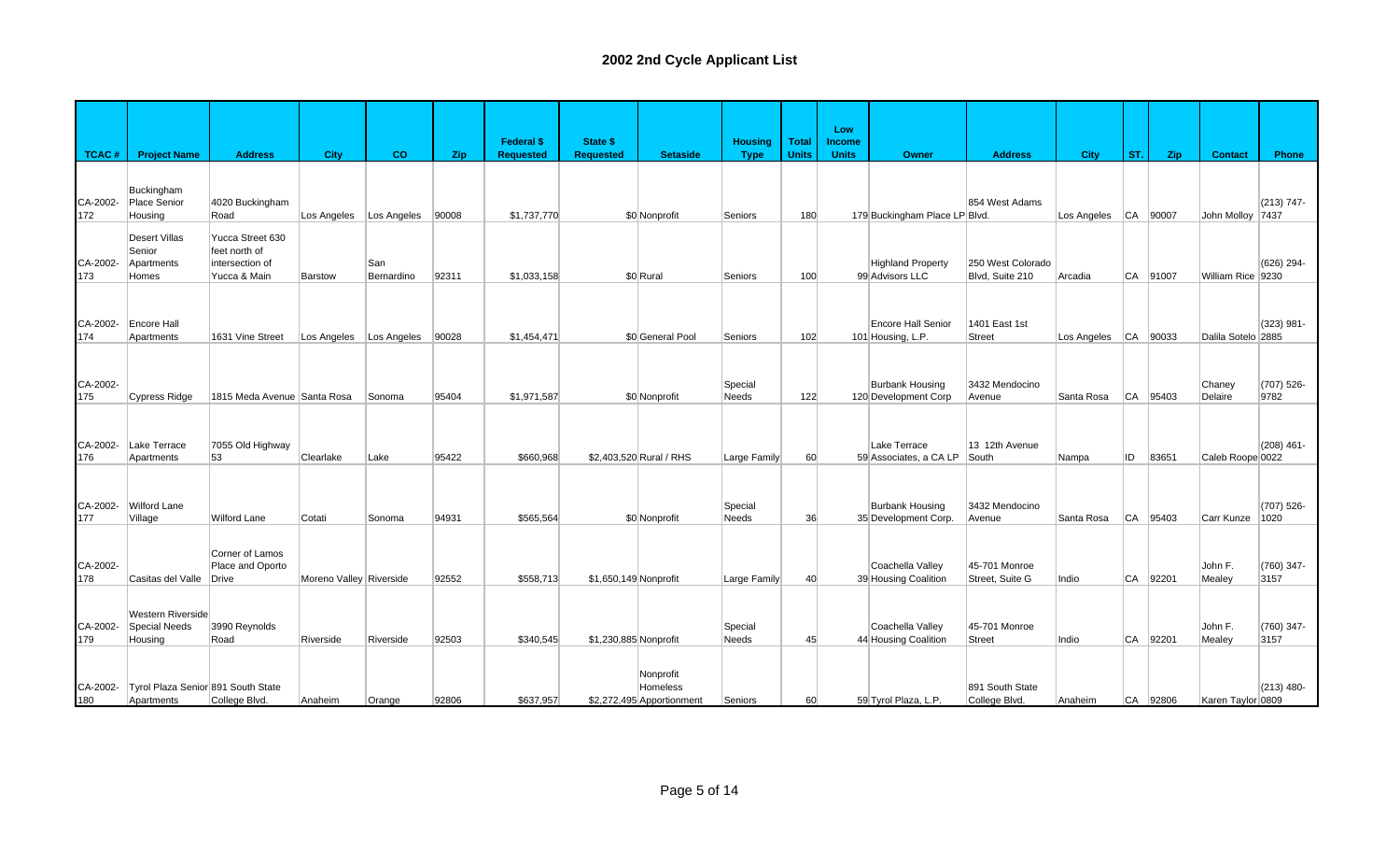|                 |                                                       |                                                                      |                         |                   |       | <b>Federal \$</b> | State \$              |                                                    | <b>Housing</b>   | <b>Total</b> | Low<br><b>Income</b> |                                                |                                      |                          |           |          |                    |                      |
|-----------------|-------------------------------------------------------|----------------------------------------------------------------------|-------------------------|-------------------|-------|-------------------|-----------------------|----------------------------------------------------|------------------|--------------|----------------------|------------------------------------------------|--------------------------------------|--------------------------|-----------|----------|--------------------|----------------------|
| <b>TCAC#</b>    | <b>Project Name</b>                                   | <b>Address</b>                                                       | <b>City</b>             | co                | Zip   | <b>Requested</b>  | <b>Requested</b>      | <b>Setaside</b>                                    | <b>Type</b>      | <b>Units</b> | <b>Units</b>         | Owner                                          | <b>Address</b>                       | <b>City</b>              | ST.       | Zip      | <b>Contact</b>     | Phone                |
| CA-2002-<br>172 | <b>Buckingham</b><br>Place Senior<br>Housing          | 4020 Buckingham<br>Road                                              | Los Angeles             | Los Angeles       | 90008 | \$1,737,770       |                       | \$0 Nonprofit                                      | Seniors          | 180          |                      | 179 Buckingham Place LP Blvd.                  | 854 West Adams                       | Los Angeles              |           | CA 90007 | John Molloy 7437   | $(213) 747 -$        |
| CA-2002-<br>173 | <b>Desert Villas</b><br>Senior<br>Apartments<br>Homes | Yucca Street 630<br>feet north of<br>intersection of<br>Yucca & Main | Barstow                 | San<br>Bernardino | 92311 | \$1,033,158       |                       | \$0 Rural                                          | Seniors          | 100          |                      | Highland Property<br>99 Advisors LLC           | 250 West Colorado<br>Blvd, Suite 210 | Arcadia                  | CA        | 91007    | William Rice 9230  | (626) 294-           |
| CA-2002-<br>174 | <b>Encore Hall</b><br>Apartments                      | 1631 Vine Street                                                     | Los Angeles             | Los Angeles       | 90028 | \$1,454,471       |                       | \$0 General Pool                                   | Seniors          | 102          |                      | <b>Encore Hall Senior</b><br>101 Housing, L.P. | 1401 East 1st<br>Street              | Los Angeles   CA   90033 |           |          | Dalila Sotelo 2885 | (323) 981-           |
| CA-2002-<br>175 | Cypress Ridge                                         | 1815 Meda Avenue Santa Rosa                                          |                         | Sonoma            | 95404 | \$1,971,587       |                       | \$0 Nonprofit                                      | Special<br>Needs | 122          |                      | <b>Burbank Housing</b><br>120 Development Corp | 3432 Mendocino<br>Avenue             | Santa Rosa               | ∣CA       | 95403    | Chaney<br>Delaire  | (707) 526-<br>9782   |
| CA-2002-<br>176 | Lake Terrace<br>Apartments                            | 7055 Old Highway<br>53                                               | Clearlake               | Lake              | 95422 | \$660,968         |                       | \$2,403,520 Rural / RHS                            | Large Family     | 60           |                      | Lake Terrace<br>59 Associates, a CA LP         | 13 12th Avenue<br>South              | Nampa                    | ID        | 83651    | Caleb Roope 0022   | $(208)$ 461-         |
| CA-2002-<br>177 | <b>Wilford Lane</b><br>Village                        | <b>Wilford Lane</b>                                                  | Cotati                  | Sonoma            | 94931 | \$565.564         |                       | \$0 Nonprofit                                      | Special<br>Needs | 36           |                      | <b>Burbank Housing</b><br>35 Development Corp. | 3432 Mendocino<br>Avenue             | Santa Rosa               | <b>CA</b> | 95403    | Carr Kunze         | $(707)$ 526-<br>1020 |
| CA-2002-<br>178 | Casitas del Valle                                     | Corner of Lamos<br>Place and Oporto<br>Drive                         | Moreno Valley Riverside |                   | 92552 | \$558,713         | \$1,650,149 Nonprofit |                                                    | Large Family     | 40           |                      | Coachella Valley<br>39 Housing Coalition       | 45-701 Monroe<br>Street, Suite G     | Indio                    | CA        | 92201    | John F.<br>Mealey  | (760) 347-<br>3157   |
| CA-2002-<br>179 | Western Riverside<br><b>Special Needs</b><br>Housing  | 3990 Reynolds<br>Road                                                | Riverside               | Riverside         | 92503 | \$340,545         | \$1,230,885 Nonprofit |                                                    | Special<br>Needs | 45           |                      | Coachella Valley<br>44 Housing Coalition       | 45-701 Monroe<br>Street              | Indio                    | CA        | 92201    | John F.<br>Mealey  | (760) 347-<br>3157   |
| CA-2002-<br>180 | Tyrol Plaza Senior 891 South State<br>Apartments      | College Blvd.                                                        | Anaheim                 | Orange            | 92806 | \$637,957         |                       | Nonprofit<br>Homeless<br>\$2,272,495 Apportionment | Seniors          | 60           |                      | 59 Tyrol Plaza, L.P.                           | 891 South State<br>College Blvd.     | Anaheim                  |           | CA 92806 | Karen Taylor 0809  | $(213)$ 480-         |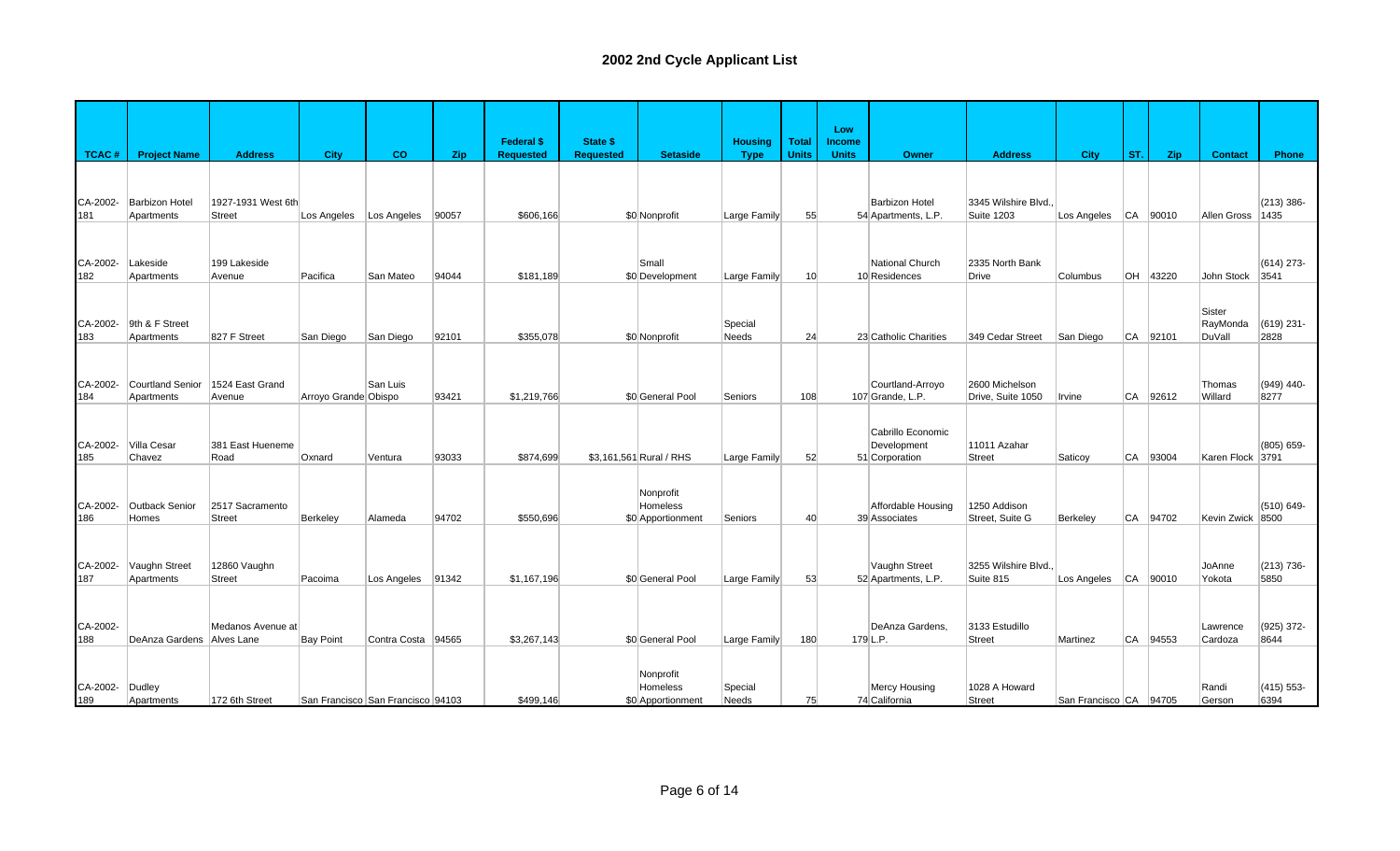|                 |                                     |                                     |                      |                                   |       |                                       |                                     |                                            |                               |                              | Low                           |                                                    |                                     |                        |     |          |                              |                       |
|-----------------|-------------------------------------|-------------------------------------|----------------------|-----------------------------------|-------|---------------------------------------|-------------------------------------|--------------------------------------------|-------------------------------|------------------------------|-------------------------------|----------------------------------------------------|-------------------------------------|------------------------|-----|----------|------------------------------|-----------------------|
| <b>TCAC#</b>    | <b>Project Name</b>                 | <b>Address</b>                      | <b>City</b>          | CO.                               | Zip.  | <b>Federal \$</b><br><b>Requested</b> | <b>State \$</b><br><b>Requested</b> | <b>Setaside</b>                            | <b>Housing</b><br><b>Type</b> | <b>Total</b><br><b>Units</b> | <b>Income</b><br><b>Units</b> | <b>Owner</b>                                       | <b>Address</b>                      | <b>City</b>            | ST. | Zip.     | <b>Contact</b>               | Phone                 |
| CA-2002-<br>181 | <b>Barbizon Hotel</b><br>Apartments | 1927-1931 West 6th<br><b>Street</b> | Los Angeles          | Los Angeles                       | 90057 | \$606,166                             |                                     | \$0 Nonprofit                              | Large Family                  | 55                           |                               | <b>Barbizon Hotel</b><br>54 Apartments, L.P.       | 3345 Wilshire Blvd.<br>Suite 1203   | Los Angeles CA 90010   |     |          | Allen Gross 1435             | $(213)$ 386-          |
| CA-2002-<br>182 | Lakeside<br>Apartments              | 199 Lakeside<br>Avenue              | Pacifica             | San Mateo                         | 94044 | \$181,189                             |                                     | Small<br>\$0 Development                   | Large Family                  | 10 <sup>1</sup>              |                               | National Church<br>10 Residences                   | 2335 North Bank<br>Drive            | Columbus               |     | OH 43220 | John Stock 3541              | $(614)$ 273-          |
| CA-2002-<br>183 | 9th & F Street<br>Apartments        | 827 F Street                        | San Diego            | San Diego                         | 92101 | \$355,078                             |                                     | \$0 Nonprofit                              | Special<br><b>Needs</b>       | 24                           |                               | 23 Catholic Charities                              | 349 Cedar Street                    | San Diego              |     | CA 92101 | Sister<br>RayMonda<br>DuVall | (619) 231-<br>2828    |
| CA-2002-<br>184 | Courtland Senior<br>Apartments      | 1524 East Grand<br>Avenue           | Arroyo Grande Obispo | San Luis                          | 93421 | \$1,219,766                           |                                     | \$0 General Pool                           | Seniors                       | 108                          |                               | Courtland-Arroyo<br>107 Grande, L.P.               | 2600 Michelson<br>Drive, Suite 1050 | Irvine                 | CA  | 92612    | Thomas<br>Willard            | $(949)$ 440-<br>8277  |
| CA-2002-<br>185 | Villa Cesar<br>Chavez               | 381 East Hueneme<br>Road            | Oxnard               | Ventura                           | 93033 | \$874,699                             |                                     | \$3,161,561 Rural / RHS                    | Large Family                  | 52                           |                               | Cabrillo Economic<br>Development<br>51 Corporation | 11011 Azahar<br>Street              | Saticoy                |     | CA 93004 | Karen Flock 3791             | (805) 659-            |
| CA-2002-<br>186 | <b>Outback Senior</b><br>Homes      | 2517 Sacramento<br><b>Street</b>    | Berkeley             | Alameda                           | 94702 | \$550.696                             |                                     | Nonprofit<br>Homeless<br>\$0 Apportionment | Seniors                       | 40                           |                               | Affordable Housing<br>39 Associates                | 1250 Addison<br>Street, Suite G     | Berkeley               |     | CA 94702 | Kevin Zwick 8500             | (510) 649-            |
| CA-2002-<br>187 | Vaughn Street<br>Apartments         | 12860 Vaughn<br><b>Street</b>       | Pacoima              | Los Angeles 91342                 |       | \$1.167.196                           |                                     | \$0 General Pool                           | Large Family                  | 53                           |                               | Vaughn Street<br>52 Apartments, L.P.               | 3255 Wilshire Blvd.<br>Suite 815    | Los Angeles CA 90010   |     |          | JoAnne<br>Yokota             | $(213) 736 -$<br>5850 |
| CA-2002-<br>188 | DeAnza Gardens                      | Medanos Avenue at<br>Alves Lane     | <b>Bay Point</b>     | Contra Costa 94565                |       | \$3,267,143                           |                                     | \$0 General Pool                           | Large Family                  | 180                          |                               | DeAnza Gardens.<br>179 L.P.                        | 3133 Estudillo<br>Street            | Martinez               | CA  | 94553    | Lawrence<br>Cardoza          | (925) 372-<br>8644    |
| CA-2002-<br>189 | Dudley<br>Apartments                | 172 6th Street                      |                      | San Francisco San Francisco 94103 |       | \$499.146                             |                                     | Nonprofit<br>Homeless<br>\$0 Apportionment | Special<br><b>Needs</b>       | 75                           |                               | <b>Mercy Housing</b><br>74 California              | 1028 A Howard<br><b>Street</b>      | San Francisco CA 94705 |     |          | Randi<br>Gerson              | $(415) 553-$<br>6394  |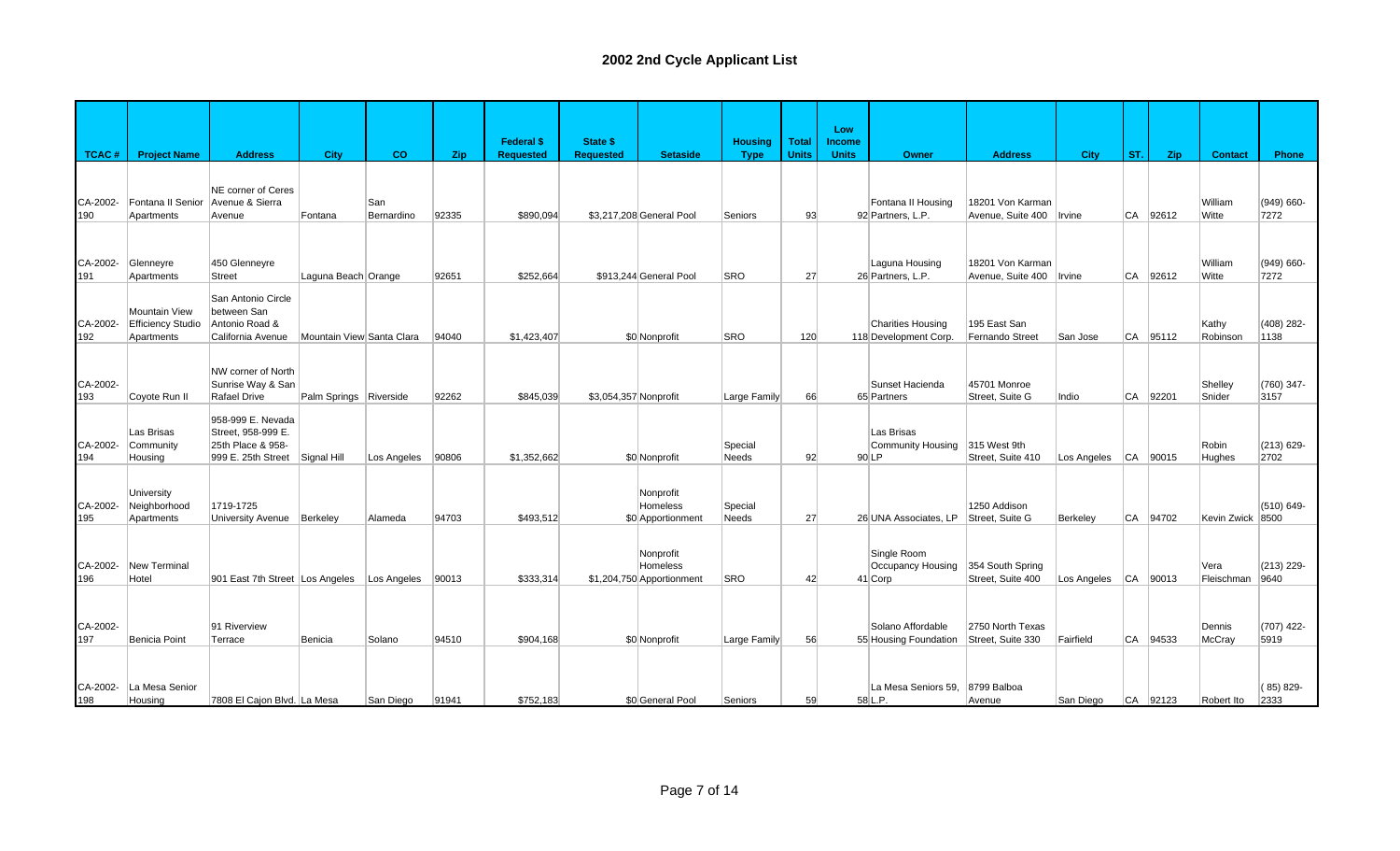|                 |                                                         |                                                                                    |                           |                   |       | <b>Federal \$</b> | <b>State \$</b>       |                                                    | <b>Housing</b>          | Total        | Low<br>Income |                                                       |                                                |                          |           |              |                    |                       |
|-----------------|---------------------------------------------------------|------------------------------------------------------------------------------------|---------------------------|-------------------|-------|-------------------|-----------------------|----------------------------------------------------|-------------------------|--------------|---------------|-------------------------------------------------------|------------------------------------------------|--------------------------|-----------|--------------|--------------------|-----------------------|
| TCAC#           | <b>Project Name</b>                                     | <b>Address</b>                                                                     | City                      | CO                | Zip   | <b>Requested</b>  | <b>Requested</b>      | <b>Setaside</b>                                    | <b>Type</b>             | <b>Units</b> | <b>Units</b>  | Owner                                                 | <b>Address</b>                                 | <b>City</b>              | ST.       | Zip          | <b>Contact</b>     | Phone                 |
| CA-2002-<br>190 | Fontana II Senior<br>Apartments                         | NE corner of Ceres<br>Avenue & Sierra<br>Avenue                                    | Fontana                   | San<br>Bernardino | 92335 | \$890,094         |                       | \$3,217,208 General Pool                           | Seniors                 | 93           |               | Fontana II Housing<br>92 Partners, L.P.               | 18201 Von Karman<br>Avenue, Suite 400   Irvine |                          |           | CA 92612     | William<br>Witte   | $(949) 660 -$<br>7272 |
| CA-2002-<br>191 | Glenneyre<br>Apartments                                 | 450 Glenneyre<br><b>Street</b>                                                     | Laguna Beach Orange       |                   | 92651 | \$252.664         |                       | \$913.244 General Pool                             | <b>SRO</b>              | 27           |               | Laguna Housing<br>26 Partners, L.P.                   | 18201 Von Karman<br>Avenue, Suite 400   Irvine |                          |           | CA 92612     | William<br>Witte   | $(949) 660 -$<br>7272 |
| CA-2002-<br>192 | Mountain View<br><b>Efficiency Studio</b><br>Apartments | San Antonio Circle<br>between San<br>Antonio Road &<br>California Avenue           | Mountain View Santa Clara |                   | 94040 | \$1,423,407       |                       | \$0 Nonprofit                                      | <b>SRO</b>              | 120          |               | <b>Charities Housing</b><br>118 Development Corp.     | 195 East San<br>Fernando Street                | San Jose                 |           | $ CA $ 95112 | Kathy<br>Robinson  | $(408)$ 282-<br>1138  |
| CA-2002-<br>193 | Coyote Run II                                           | NW corner of North<br>Sunrise Way & San<br><b>Rafael Drive</b>                     | Palm Springs Riverside    |                   | 92262 | \$845,039         | \$3,054,357 Nonprofit |                                                    | Large Family            | 66           |               | Sunset Hacienda<br>65 Partners                        | 45701 Monroe<br>Street, Suite G                | Indio                    | <b>CA</b> | 92201        | Shelley<br>Snider  | (760) 347-<br>3157    |
| CA-2002-<br>194 | Las Brisas<br>Community<br>Housing                      | 958-999 E. Nevada<br>Street, 958-999 E.<br>25th Place & 958-<br>999 E. 25th Street | Signal Hill               | Los Angeles       | 90806 | \$1,352,662       |                       | \$0 Nonprofit                                      | Special<br><b>Needs</b> | 92           |               | Las Brisas<br>Community Housing<br>$90$ <sub>LP</sub> | 315 West 9th<br>Street, Suite 410              | Los Angeles              |           | $ CA $ 90015 | Robin<br>Hughes    | $(213) 629 -$<br>2702 |
| CA-2002-<br>195 | University<br>Neighborhood<br>Apartments                | 1719-1725<br><b>University Avenue</b>                                              | Berkeley                  | Alameda           | 94703 | \$493.512         |                       | Nonprofit<br>Homeless<br>\$0 Apportionment         | Special<br><b>Needs</b> | 27           |               | 26 UNA Associates. LP                                 | 1250 Addison<br>Street. Suite G                | Berkeley                 |           | CA 94702     | Kevin Zwick 8500   | (510) 649-            |
| CA-2002-<br>196 | <b>New Terminal</b><br>Hotel                            | 901 East 7th Street Los Angeles Los Angeles                                        |                           |                   | 90013 | \$333.314         |                       | Nonprofit<br>Homeless<br>\$1,204,750 Apportionment | <b>SRO</b>              | 42           |               | Single Room<br>Occupancy Housing<br>41 Corp           | 354 South Spring<br>Street, Suite 400          | Los Angeles   CA   90013 |           |              | Vera<br>Fleischman | $(213)$ 229-<br>9640  |
| CA-2002-<br>197 | Benicia Point                                           | 91 Riverview<br>Terrace                                                            | Benicia                   | Solano            | 94510 | \$904,168         |                       | \$0 Nonprofit                                      | Large Family            | 56           |               | Solano Affordable<br>55 Housing Foundation            | 2750 North Texas<br>Street, Suite 330          | Fairfield                |           | $ CA $ 94533 | Dennis<br>McCray   | (707) 422-<br>5919    |
| CA-2002-<br>198 | La Mesa Senior<br>Housing                               | 7808 El Cajon Blvd. La Mesa                                                        |                           | San Diego         | 91941 | \$752,183         |                       | \$0 General Pool                                   | Seniors                 | 59           |               | La Mesa Seniors 59.<br>58 L.P.                        | 8799 Balboa<br>Avenue                          | San Diego                |           | CA 92123     | Robert Ito         | $(85)829-$<br>2333    |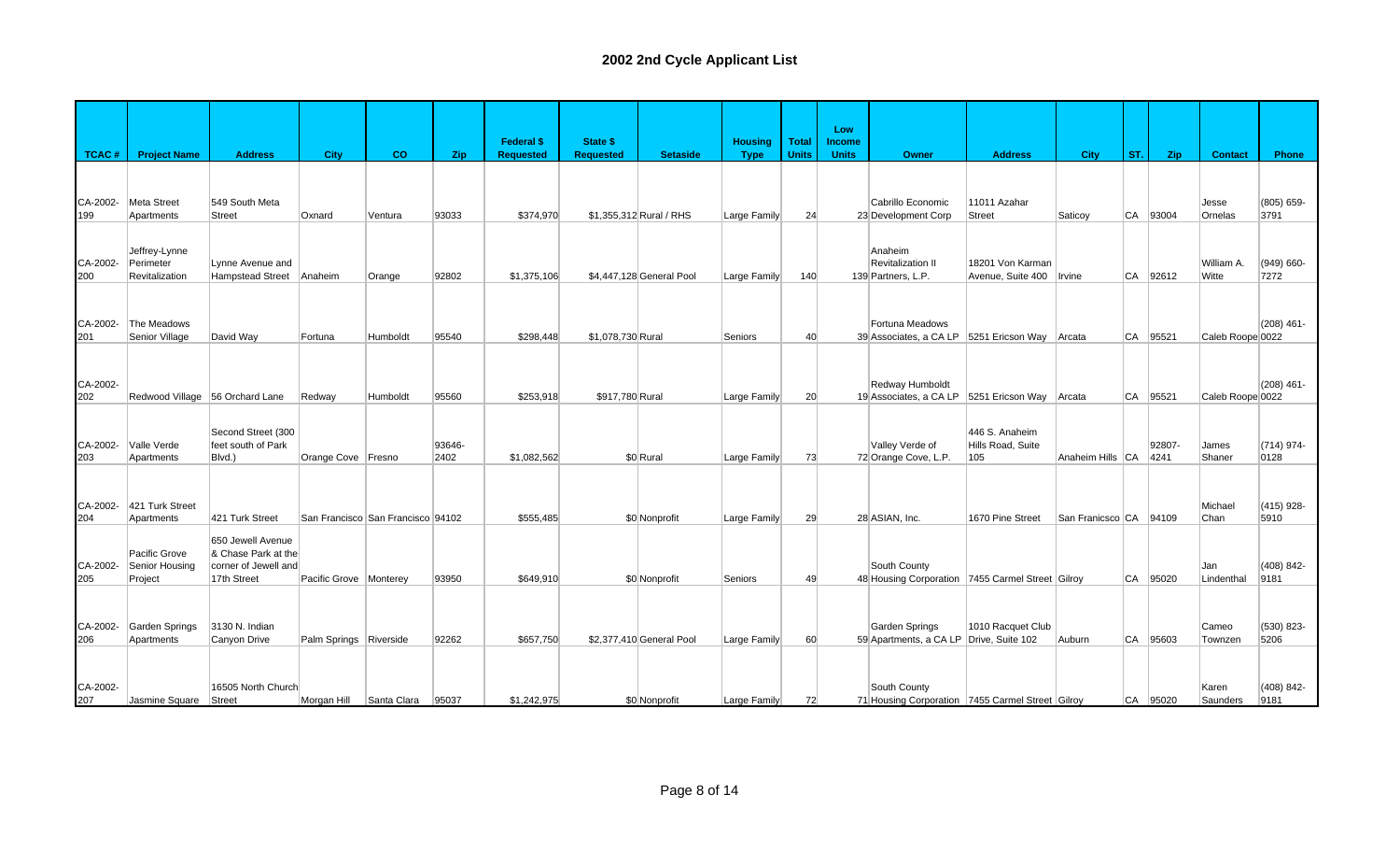|                 |                                 |                                     |                          |                                   |                | <b>Federal \$</b> | State \$          |                          | <b>Housing</b> | <b>Total</b> | Low<br><b>Income</b> |                                                                  |                          |                        |           |                |                   |                       |
|-----------------|---------------------------------|-------------------------------------|--------------------------|-----------------------------------|----------------|-------------------|-------------------|--------------------------|----------------|--------------|----------------------|------------------------------------------------------------------|--------------------------|------------------------|-----------|----------------|-------------------|-----------------------|
| TCAC#           | <b>Project Name</b>             | <b>Address</b>                      | City                     | co                                | Zip            | <b>Requested</b>  | <b>Requested</b>  | <b>Setaside</b>          | <b>Type</b>    | <b>Units</b> | <b>Units</b>         | <b>Owner</b>                                                     | <b>Address</b>           | <b>City</b>            | ST.       | Zip            | <b>Contact</b>    | Phone                 |
|                 |                                 |                                     |                          |                                   |                |                   |                   |                          |                |              |                      |                                                                  |                          |                        |           |                |                   |                       |
| CA-2002-        | Meta Street                     | 549 South Meta                      |                          |                                   |                |                   |                   |                          |                |              |                      | Cabrillo Economic                                                | 11011 Azahar             |                        |           |                | Jesse             | (805) 659-            |
| 199             | Apartments                      | <b>Street</b>                       | Oxnard                   | Ventura                           | 93033          | \$374,970         |                   | \$1,355,312 Rural / RHS  | Large Family   | 24           |                      | 23 Development Corp                                              | Street                   | Saticoy                | CA        | 93004          | Ornelas           | 3791                  |
|                 |                                 |                                     |                          |                                   |                |                   |                   |                          |                |              |                      |                                                                  |                          |                        |           |                |                   |                       |
| CA-2002-        | Jeffrey-Lynne<br>Perimeter      | Lynne Avenue and                    |                          |                                   |                |                   |                   |                          |                |              |                      | Anaheim<br>Revitalization II                                     | 18201 Von Karman         |                        |           |                | William A.        | $(949) 660 -$         |
| 200             | Revitalization                  | Hampstead Street                    | Anaheim                  | Orange                            | 92802          | \$1,375,106       |                   | \$4,447,128 General Pool | Large Family   | 140          |                      | 139 Partners, L.P.                                               | Avenue, Suite 400        | Irvine                 | CA        | 92612          | Witte             | 7272                  |
|                 |                                 |                                     |                          |                                   |                |                   |                   |                          |                |              |                      |                                                                  |                          |                        |           |                |                   |                       |
| CA-2002-        | The Meadows                     |                                     |                          |                                   |                |                   |                   |                          |                |              |                      | Fortuna Meadows                                                  |                          |                        |           |                |                   | $(208)$ 461-          |
| 201             | Senior Village                  | David Way                           | Fortuna                  | Humboldt                          | 95540          | \$298,448         | \$1,078,730 Rural |                          | Seniors        | 40           |                      | 39 Associates, a CA LP 5251 Ericson Way                          |                          | Arcata                 | <b>CA</b> | 95521          | Caleb Roope 0022  |                       |
|                 |                                 |                                     |                          |                                   |                |                   |                   |                          |                |              |                      |                                                                  |                          |                        |           |                |                   |                       |
| CA-2002-        |                                 |                                     |                          |                                   |                |                   |                   |                          |                |              |                      | Redway Humboldt                                                  |                          |                        |           |                |                   | $(208)$ 461-          |
| 202             | Redwood Village 56 Orchard Lane |                                     | Redway                   | Humboldt                          | 95560          | \$253,918         | \$917,780 Rural   |                          | Large Family   | 20           |                      | 19 Associates, a CA LP 5251 Ericson Way                          |                          | Arcata                 | CA        | 95521          | Caleb Roope 0022  |                       |
|                 |                                 |                                     |                          |                                   |                |                   |                   |                          |                |              |                      |                                                                  |                          |                        |           |                |                   |                       |
|                 |                                 | Second Street (300                  |                          |                                   |                |                   |                   |                          |                |              |                      |                                                                  | 446 S. Anaheim           |                        |           |                |                   |                       |
| CA-2002-<br>203 | Valle Verde<br>Apartments       | feet south of Park<br>Blvd.)        | Orange Cove Fresno       |                                   | 93646-<br>2402 | \$1,082,562       |                   | \$0 Rural                | Large Family   | 73           |                      | Valley Verde of<br>72 Orange Cove, L.P.                          | Hills Road, Suite<br>105 | Anaheim Hills CA       |           | 92807-<br>4241 | James<br>Shaner   | $(714)$ 974-<br>0128  |
|                 |                                 |                                     |                          |                                   |                |                   |                   |                          |                |              |                      |                                                                  |                          |                        |           |                |                   |                       |
|                 |                                 |                                     |                          |                                   |                |                   |                   |                          |                |              |                      |                                                                  |                          |                        |           |                |                   |                       |
| CA-2002-<br>204 | 421 Turk Street<br>Apartments   | 421 Turk Street                     |                          | San Francisco San Francisco 94102 |                | \$555.485         |                   | \$0 Nonprofit            | Large Family   | 29           |                      | 28 ASIAN. Inc.                                                   | 1670 Pine Street         | San Franicsco CA 94109 |           |                | Michael<br>Chan   | $(415)$ 928-<br>5910  |
|                 |                                 | 650 Jewell Avenue                   |                          |                                   |                |                   |                   |                          |                |              |                      |                                                                  |                          |                        |           |                |                   |                       |
|                 | Pacific Grove                   | & Chase Park at the                 |                          |                                   |                |                   |                   |                          |                |              |                      |                                                                  |                          |                        |           |                |                   |                       |
| CA-2002-<br>205 | Senior Housing<br>Project       | corner of Jewell and<br>17th Street | Pacific Grove   Monterey |                                   | 93950          | \$649.910         |                   | \$0 Nonprofit            | Seniors        | 49           |                      | South County<br>48 Housing Corporation 7455 Carmel Street Gilroy |                          |                        | <b>CA</b> | 95020          | Jan<br>Lindenthal | $(408) 842 -$<br>9181 |
|                 |                                 |                                     |                          |                                   |                |                   |                   |                          |                |              |                      |                                                                  |                          |                        |           |                |                   |                       |
|                 |                                 |                                     |                          |                                   |                |                   |                   |                          |                |              |                      |                                                                  |                          |                        |           |                |                   |                       |
| CA-2002-<br>206 | Garden Springs<br>Apartments    | 3130 N. Indian<br>Canyon Drive      | Palm Springs Riverside   |                                   | 92262          | \$657,750         |                   | \$2,377,410 General Pool | Large Family   | 60           |                      | Garden Springs<br>59 Apartments, a CA LP Drive, Suite 102        | 1010 Racquet Club        | Auburn                 | CA        | 95603          | Cameo<br>Townzen  | (530) 823-<br>5206    |
|                 |                                 |                                     |                          |                                   |                |                   |                   |                          |                |              |                      |                                                                  |                          |                        |           |                |                   |                       |
|                 |                                 |                                     |                          |                                   |                |                   |                   |                          |                |              |                      |                                                                  |                          |                        |           |                |                   |                       |
| CA-2002-<br>207 | Jasmine Square                  | 16505 North Church<br>Street        | Morgan Hill              | Santa Clara                       | 95037          | \$1,242,975       |                   | \$0 Nonprofit            | Large Family   | 72           |                      | South County<br>71 Housing Corporation 7455 Carmel Street Gilroy |                          |                        | CA        | 95020          | Karen<br>Saunders | $(408) 842 -$<br>9181 |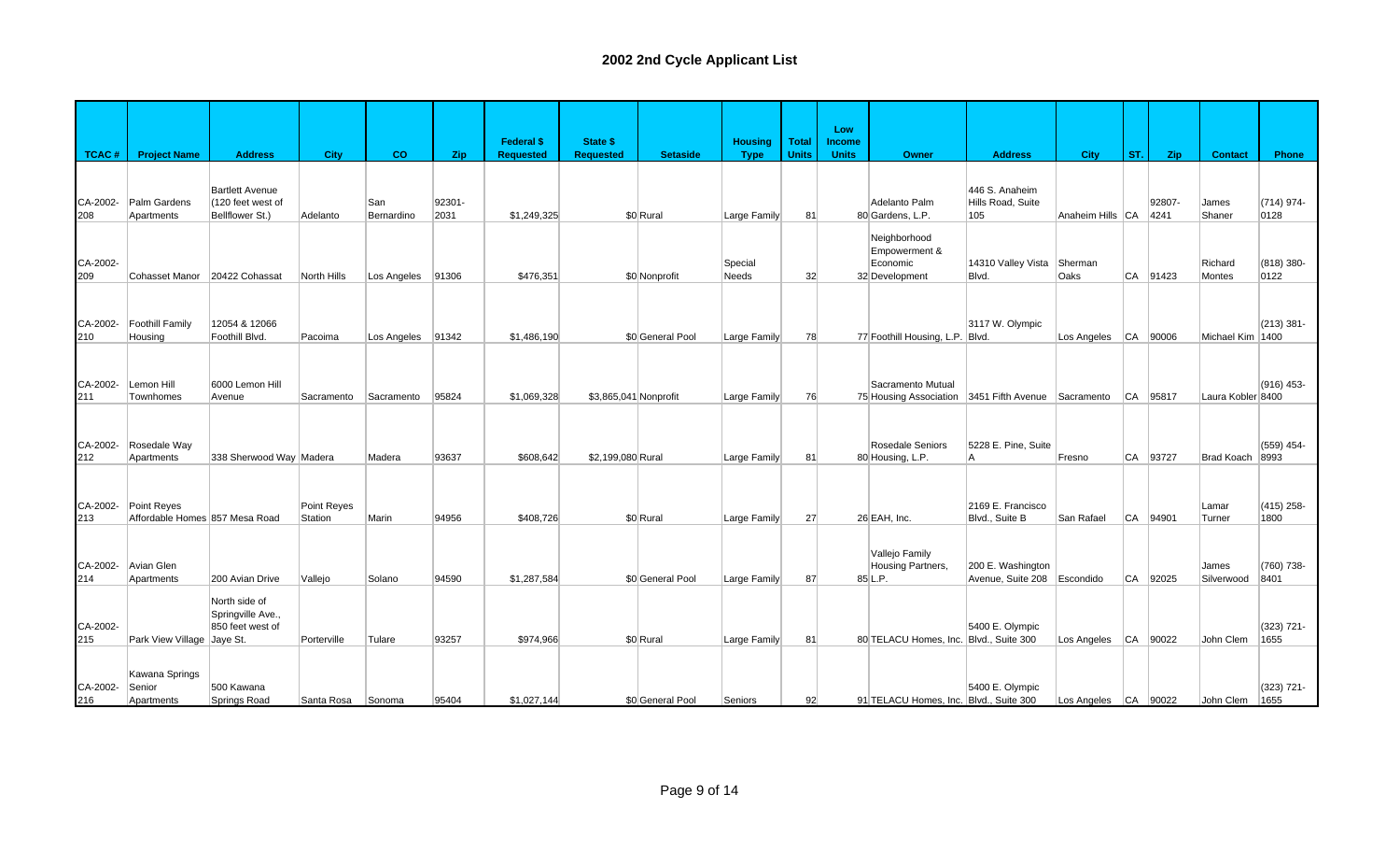|                 |                                               |                                                        |                               |                   |                | <b>Federal \$</b> | <b>State \$</b>       |                  | <b>Housing</b> | <b>Total</b> | Low<br>Income |                                                               |                                                  |                          |           |                |                     |                       |
|-----------------|-----------------------------------------------|--------------------------------------------------------|-------------------------------|-------------------|----------------|-------------------|-----------------------|------------------|----------------|--------------|---------------|---------------------------------------------------------------|--------------------------------------------------|--------------------------|-----------|----------------|---------------------|-----------------------|
| <b>TCAC#</b>    | <b>Project Name</b>                           | <b>Address</b>                                         | <b>City</b>                   | CO                | Zip            | <b>Requested</b>  | <b>Requested</b>      | <b>Setaside</b>  | <b>Type</b>    | <b>Units</b> | <b>Units</b>  | Owner                                                         | <b>Address</b>                                   | <b>City</b>              | ST.       | Zip            | <b>Contact</b>      | Phone                 |
|                 |                                               | <b>Bartlett Avenue</b>                                 |                               |                   |                |                   |                       |                  |                |              |               |                                                               | 446 S. Anaheim                                   |                          |           |                |                     |                       |
| CA-2002-<br>208 | Palm Gardens<br>Apartments                    | (120 feet west of<br>Bellflower St.)                   | Adelanto                      | San<br>Bernardino | 92301-<br>2031 | \$1,249,325       |                       | \$0 Rural        | Large Family   | 81           |               | Adelanto Palm<br>80 Gardens, L.P.                             | Hills Road, Suite<br>105                         | Anaheim Hills   CA       |           | 92807-<br>4241 | James<br>Shaner     | (714) 974-<br>0128    |
| CA-2002-        |                                               |                                                        |                               |                   |                |                   |                       |                  | Special        |              |               | Neighborhood<br>Empowerment &<br>Economic                     | 14310 Valley Vista                               | Sherman                  |           |                | Richard             | (818) 380-            |
| 209             | Cohasset Manor 20422 Cohassat                 |                                                        | North Hills                   | Los Angeles       | 91306          | \$476,351         |                       | \$0 Nonprofit    | Needs          | 32           |               | 32 Development                                                | Blvd.                                            | Oaks                     | CA        | 91423          | Montes              | 0122                  |
| CA-2002-<br>210 | <b>Foothill Family</b><br>Housing             | 12054 & 12066<br>Foothill Blvd.                        | Pacoima                       | Los Angeles       | 91342          | \$1,486,190       |                       | \$0 General Pool | Large Family   | 78           |               | 77 Foothill Housing, L.P. Blvd.                               | 3117 W. Olympic                                  | Los Angeles              |           | CA 90006       | Michael Kim 1400    | $(213)$ 381-          |
|                 |                                               |                                                        |                               |                   |                |                   |                       |                  |                |              |               |                                                               |                                                  |                          |           |                |                     |                       |
| CA-2002-<br>211 | Lemon Hill<br>Townhomes                       | 6000 Lemon Hill<br>Avenue                              | Sacramento                    | Sacramento        | 95824          | \$1,069,328       | \$3,865,041 Nonprofit |                  | Large Family   | 76           |               | Sacramento Mutual<br>75 Housing Association 3451 Fifth Avenue |                                                  | Sacramento               | <b>CA</b> | 95817          | Laura Kobler 8400   | (916) 453-            |
|                 |                                               |                                                        |                               |                   |                |                   |                       |                  |                |              |               |                                                               |                                                  |                          |           |                |                     |                       |
| CA-2002-<br>212 | Rosedale Way<br>Apartments                    | 338 Sherwood Way Madera                                |                               | Madera            | 93637          | \$608,642         | \$2,199,080 Rural     |                  | Large Family   | 81           |               | Rosedale Seniors<br>80 Housing, L.P.                          | 5228 E. Pine. Suite<br>A                         | Fresno                   | CA        | 93727          | Brad Koach          | (559) 454-<br>8993    |
|                 |                                               |                                                        |                               |                   |                |                   |                       |                  |                |              |               |                                                               |                                                  |                          |           |                |                     |                       |
| CA-2002-<br>213 | Point Reyes<br>Affordable Homes 857 Mesa Road |                                                        | Point Reyes<br><b>Station</b> | Marin             | 94956          | \$408.726         |                       | \$0 Rural        | Large Family   | 27           |               | 26 EAH. Inc.                                                  | 2169 E. Francisco<br>Blvd., Suite B              | San Rafael               | CA        | 94901          | Lamar<br>Turner     | $(415)$ 258-<br>1800  |
| CA-2002-<br>214 | Avian Glen<br>Apartments                      | 200 Avian Drive                                        | Vallejo                       | Solano            | 94590          | \$1,287,584       |                       | \$0 General Pool | Large Family   | 87           |               | Vallejo Family<br>Housing Partners,<br>85 L.P.                | 200 E. Washington<br>Avenue, Suite 208 Escondido |                          | CA        | 92025          | James<br>Silverwood | (760) 738-<br>8401    |
| CA-2002-        |                                               | North side of<br>Springville Ave.,<br>850 feet west of |                               |                   |                |                   |                       |                  |                |              |               |                                                               | 5400 E. Olympic                                  |                          |           |                |                     | (323) 721-            |
| 215             | Park View Village Jaye St.                    |                                                        | Porterville                   | Tulare            | 93257          | \$974,966         |                       | \$0 Rural        | Large Family   | 81           |               | 80 TELACU Homes, Inc. Blvd., Suite 300                        |                                                  | Los Angeles   CA   90022 |           |                | John Clem           | 1655                  |
| CA-2002-<br>216 | Kawana Springs<br>Senior<br>Apartments        | 500 Kawana<br>Springs Road                             | Santa Rosa Sonoma             |                   | 95404          | \$1,027,144       |                       | \$0 General Pool | Seniors        | 92           |               | 91 TELACU Homes, Inc. Blvd., Suite 300                        | 5400 E. Olympic                                  | Los Angeles CA 90022     |           |                | John Clem           | $(323) 721 -$<br>1655 |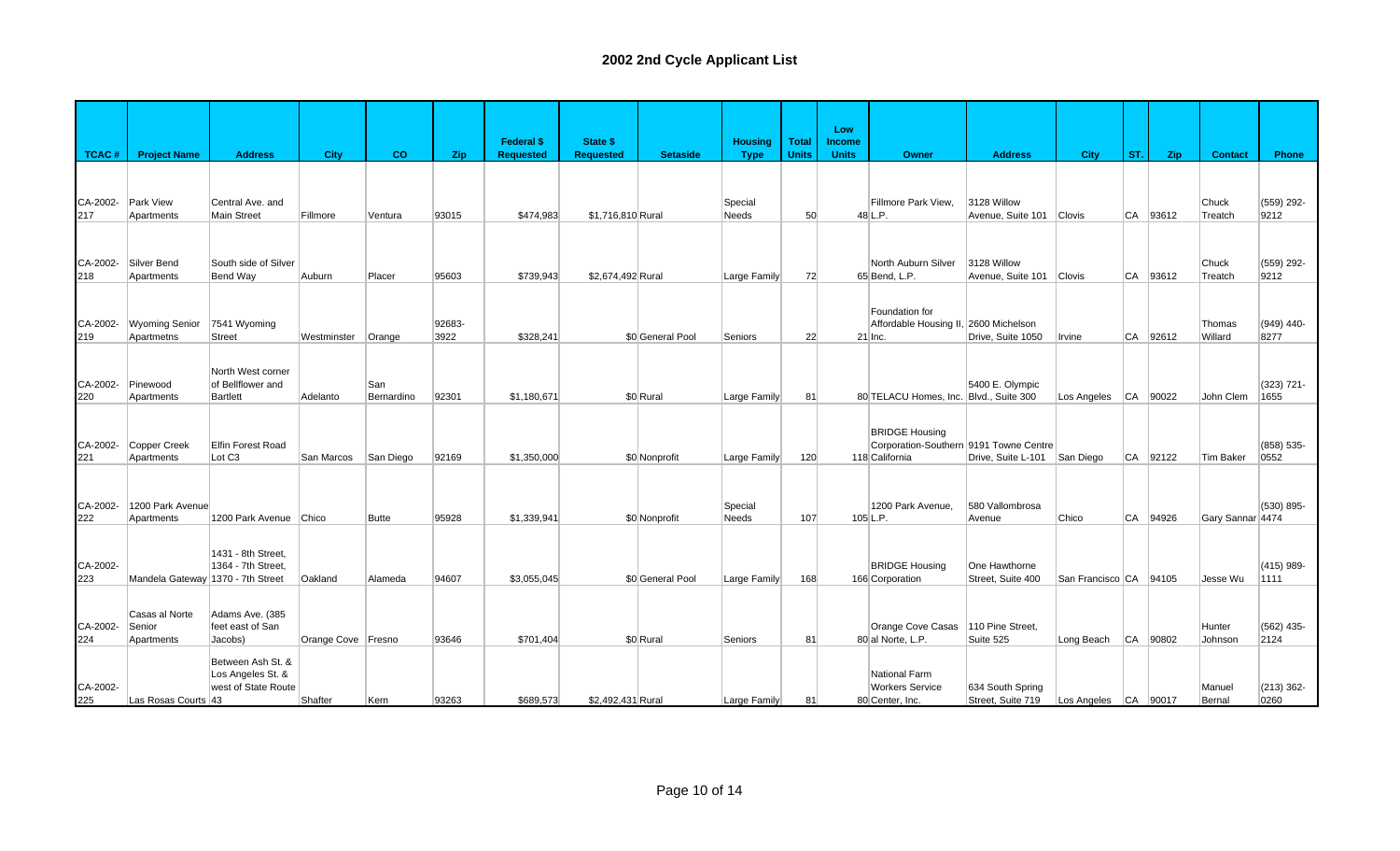| <b>TCAC#</b>    | <b>Project Name</b>                 | <b>Address</b>                           | City               | co         | Zip            | <b>Federal \$</b><br><b>Requested</b> | State \$<br><b>Requested</b> | <b>Setaside</b>  | <b>Housing</b><br><b>Type</b> | <b>Total</b><br><b>Units</b> | Low<br><b>Income</b><br><b>Units</b> | Owner                                              | <b>Address</b>            | <b>City</b>              | ST.       | Zip      | <b>Contact</b>    | Phone              |
|-----------------|-------------------------------------|------------------------------------------|--------------------|------------|----------------|---------------------------------------|------------------------------|------------------|-------------------------------|------------------------------|--------------------------------------|----------------------------------------------------|---------------------------|--------------------------|-----------|----------|-------------------|--------------------|
|                 |                                     |                                          |                    |            |                |                                       |                              |                  |                               |                              |                                      |                                                    |                           |                          |           |          |                   |                    |
|                 |                                     |                                          |                    |            |                |                                       |                              |                  |                               |                              |                                      |                                                    |                           |                          |           |          |                   |                    |
| CA-2002-        | Park View                           | Central Ave. and                         |                    |            |                |                                       |                              |                  | Special                       |                              |                                      | Fillmore Park View,                                | 3128 Willow               |                          |           |          | Chuck             | (559) 292-         |
| 217             | Apartments                          | Main Street                              | Fillmore           | Ventura    | 93015          | \$474,983                             | \$1,716,810 Rural            |                  | Needs                         | 50                           |                                      | 48 L.P.                                            | Avenue, Suite 101 Clovis  |                          | CA        | 93612    | Treatch           | 9212               |
|                 |                                     |                                          |                    |            |                |                                       |                              |                  |                               |                              |                                      |                                                    |                           |                          |           |          |                   |                    |
|                 |                                     |                                          |                    |            |                |                                       |                              |                  |                               |                              |                                      |                                                    |                           |                          |           |          |                   |                    |
| CA-2002-        | Silver Bend                         | South side of Silver                     |                    |            |                |                                       |                              |                  |                               |                              |                                      | North Auburn Silver                                | 3128 Willow               |                          |           |          | Chuck             | (559) 292-         |
| 218             | Apartments                          | Bend Way                                 | Auburn             | Placer     | 95603          | \$739,943                             | \$2,674,492 Rural            |                  | Large Family                  | 72                           |                                      | 65 Bend, L.P.                                      | Avenue, Suite 101 Clovis  |                          | CA        | 93612    | Treatch           | 9212               |
|                 |                                     |                                          |                    |            |                |                                       |                              |                  |                               |                              |                                      |                                                    |                           |                          |           |          |                   |                    |
|                 |                                     |                                          |                    |            |                |                                       |                              |                  |                               |                              |                                      | Foundation for                                     |                           |                          |           |          |                   |                    |
| CA-2002-<br>219 | <b>Wyoming Senior</b><br>Apartmetns | 7541 Wyoming<br><b>Street</b>            | Westminster        | Orange     | 92683-<br>3922 | \$328,241                             |                              | \$0 General Pool | Seniors                       | 22                           |                                      | Affordable Housing II, 2600 Michelson<br>$21$ Inc. | Drive, Suite 1050         | Irvine                   | CA        | 92612    | Thomas<br>Willard | (949) 440-<br>8277 |
|                 |                                     |                                          |                    |            |                |                                       |                              |                  |                               |                              |                                      |                                                    |                           |                          |           |          |                   |                    |
|                 |                                     |                                          |                    |            |                |                                       |                              |                  |                               |                              |                                      |                                                    |                           |                          |           |          |                   |                    |
| CA-2002-        | Pinewood                            | North West corner<br>of Bellflower and   |                    | San        |                |                                       |                              |                  |                               |                              |                                      |                                                    | 5400 E. Olympic           |                          |           |          |                   | (323) 721-         |
| 220             | Apartments                          | Bartlett                                 | Adelanto           | Bernardino | 92301          | \$1,180,671                           |                              | \$0 Rural        | Large Family                  | 81                           |                                      | 80 TELACU Homes, Inc. Blvd., Suite 300             |                           | Los Angeles              |           | CA 90022 | John Clem         | 1655               |
|                 |                                     |                                          |                    |            |                |                                       |                              |                  |                               |                              |                                      |                                                    |                           |                          |           |          |                   |                    |
|                 |                                     |                                          |                    |            |                |                                       |                              |                  |                               |                              |                                      | <b>BRIDGE Housing</b>                              |                           |                          |           |          |                   |                    |
| CA-2002-        | Copper Creek                        | Elfin Forest Road                        |                    |            |                |                                       |                              |                  |                               |                              |                                      | Corporation-Southern 9191 Towne Centre             |                           |                          |           |          |                   | (858) 535-         |
| 221             | Apartments                          | Lot C <sub>3</sub>                       | San Marcos         | San Diego  | 92169          | \$1,350,000                           |                              | \$0 Nonprofit    | Large Family                  | 120                          |                                      | 118 California                                     | Drive, Suite L-101        | San Diego                |           | CA 92122 | <b>Tim Baker</b>  | 0552               |
|                 |                                     |                                          |                    |            |                |                                       |                              |                  |                               |                              |                                      |                                                    |                           |                          |           |          |                   |                    |
|                 |                                     |                                          |                    |            |                |                                       |                              |                  |                               |                              |                                      |                                                    |                           |                          |           |          |                   |                    |
| CA-2002-        | 1200 Park Avenue                    | 1200 Park Avenue Chico                   |                    | Butte      | 95928          | \$1,339,941                           |                              |                  | Special<br>Needs              | 107                          |                                      | 1200 Park Avenue,<br>$105$ L.P.                    | 580 Vallombrosa<br>Avenue | Chico                    | <b>CA</b> | 94926    |                   | (530) 895-         |
| 222             | Apartments                          |                                          |                    |            |                |                                       |                              | \$0 Nonprofit    |                               |                              |                                      |                                                    |                           |                          |           |          | Gary Sannar 4474  |                    |
|                 |                                     |                                          |                    |            |                |                                       |                              |                  |                               |                              |                                      |                                                    |                           |                          |           |          |                   |                    |
| CA-2002-        |                                     | 1431 - 8th Street.<br>1364 - 7th Street. |                    |            |                |                                       |                              |                  |                               |                              |                                      | <b>BRIDGE Housing</b>                              | One Hawthorne             |                          |           |          |                   | $(415)$ 989-       |
| 223             | Mandela Gateway 1370 - 7th Street   |                                          | Oakland            | Alameda    | 94607          | \$3,055,045                           |                              | \$0 General Pool | Large Family                  | 168                          |                                      | 166 Corporation                                    | Street, Suite 400         | San Francisco CA 94105   |           |          | Jesse Wu          | 1111               |
|                 |                                     |                                          |                    |            |                |                                       |                              |                  |                               |                              |                                      |                                                    |                           |                          |           |          |                   |                    |
|                 | Casas al Norte                      | Adams Ave. (385                          |                    |            |                |                                       |                              |                  |                               |                              |                                      |                                                    |                           |                          |           |          |                   |                    |
| CA-2002-        | Senior                              | feet east of San                         |                    |            |                |                                       |                              |                  |                               |                              |                                      | Orange Cove Casas                                  | 110 Pine Street,          |                          |           |          | Hunter            | (562) 435-         |
| 224             | Apartments                          | Jacobs)                                  | Orange Cove Fresno |            | 93646          | \$701,404                             |                              | \$0 Rural        | <b>Seniors</b>                | 81                           |                                      | 80 al Norte, L.P.                                  | Suite 525                 | Long Beach               |           | CA 90802 | Johnson           | 2124               |
|                 |                                     | Between Ash St. &                        |                    |            |                |                                       |                              |                  |                               |                              |                                      |                                                    |                           |                          |           |          |                   |                    |
|                 |                                     | Los Angeles St. &                        |                    |            |                |                                       |                              |                  |                               |                              |                                      | National Farm                                      |                           |                          |           |          |                   |                    |
| CA-2002-        |                                     | west of State Route                      |                    |            |                |                                       |                              |                  |                               |                              |                                      | <b>Workers Service</b>                             | 634 South Spring          |                          |           |          | Manuel            | $(213)$ 362-       |
| 225             | Las Rosas Courts 43                 |                                          | Shafter            | Kern       | 93263          | \$689,573                             | \$2,492,431 Rural            |                  | Large Family                  | 81                           |                                      | 80 Center, Inc.                                    | Street, Suite 719         | Los Angeles   CA   90017 |           |          | Bernal            | 0260               |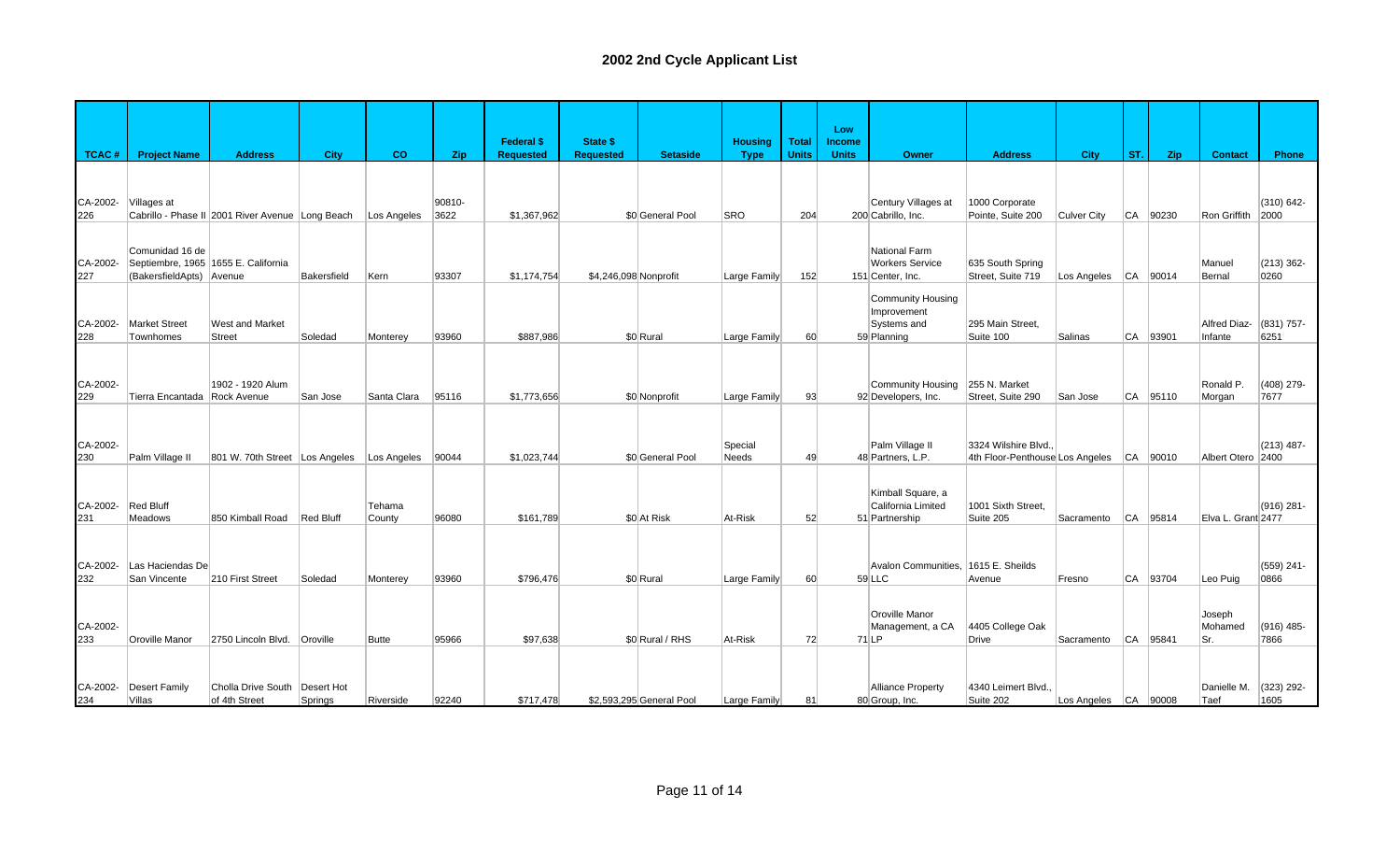|                 |                              |                                                  |             |                  |                | <b>Federal \$</b> | <b>State \$</b>       |                          | <b>Housing</b>   | <b>Total</b> | Low<br><b>Income</b> |                                           |                                          |                          |     |              |                    |                       |
|-----------------|------------------------------|--------------------------------------------------|-------------|------------------|----------------|-------------------|-----------------------|--------------------------|------------------|--------------|----------------------|-------------------------------------------|------------------------------------------|--------------------------|-----|--------------|--------------------|-----------------------|
| <b>TCAC#</b>    | <b>Project Name</b>          | <b>Address</b>                                   | City        | co               | Zip            | <b>Requested</b>  | <b>Requested</b>      | <b>Setaside</b>          | <b>Type</b>      | <b>Units</b> | <b>Units</b>         | <b>Owner</b>                              | <b>Address</b>                           | <b>City</b>              | ST. | Zip          | <b>Contact</b>     | Phone                 |
|                 |                              |                                                  |             |                  |                |                   |                       |                          |                  |              |                      |                                           |                                          |                          |     |              |                    |                       |
|                 |                              |                                                  |             |                  |                |                   |                       |                          |                  |              |                      |                                           |                                          |                          |     |              |                    |                       |
| CA-2002-<br>226 | Villages at                  | Cabrillo - Phase II 2001 River Avenue Long Beach |             | Los Angeles      | 90810-<br>3622 | \$1,367,962       |                       | \$0 General Pool         | <b>SRO</b>       | 204          |                      | Century Villages at<br>200 Cabrillo, Inc. | 1000 Corporate<br>Pointe, Suite 200      | <b>Culver City</b>       |     | $ CA $ 90230 | Ron Griffith       | $(310) 642 -$<br>2000 |
|                 |                              |                                                  |             |                  |                |                   |                       |                          |                  |              |                      |                                           |                                          |                          |     |              |                    |                       |
|                 | Comunidad 16 de              |                                                  |             |                  |                |                   |                       |                          |                  |              |                      | National Farm                             |                                          |                          |     |              |                    |                       |
| CA-2002-        |                              | Septiembre, 1965 1655 E. California              |             |                  |                | \$1,174,754       |                       |                          |                  |              |                      | <b>Workers Service</b>                    | 635 South Spring                         |                          |     |              | Manuel             | $(213)$ 362-<br>0260  |
| 227             | (BakersfieldApts) Avenue     |                                                  | Bakersfield | Kern             | 93307          |                   | \$4,246,098 Nonprofit |                          | Large Family     | 152          |                      | 151 Center, Inc.                          | Street, Suite 719                        | Los Angeles   CA   90014 |     |              | Bernal             |                       |
|                 |                              |                                                  |             |                  |                |                   |                       |                          |                  |              |                      | <b>Community Housing</b><br>Improvement   |                                          |                          |     |              |                    |                       |
| CA-2002-        | <b>Market Street</b>         | West and Market                                  |             |                  |                |                   |                       |                          |                  |              |                      | Systems and                               | 295 Main Street.                         |                          |     |              | Alfred Diaz-       | (831) 757-            |
| 228             | Townhomes                    | <b>Street</b>                                    | Soledad     | Monterey         | 93960          | \$887.986         |                       | \$0 Rural                | Large Family     | 60           |                      | 59 Planning                               | Suite 100                                | Salinas                  |     | CA 93901     | Infante            | 6251                  |
|                 |                              |                                                  |             |                  |                |                   |                       |                          |                  |              |                      |                                           |                                          |                          |     |              |                    |                       |
| CA-2002-        |                              | 1902 - 1920 Alum                                 |             |                  |                |                   |                       |                          |                  |              |                      | Community Housing                         | 255 N. Market                            |                          |     |              | Ronald P.          | (408) 279-            |
| 229             | Tierra Encantada Rock Avenue |                                                  | San Jose    | Santa Clara      | 95116          | \$1,773,656       |                       | \$0 Nonprofit            | Large Family     | 93           |                      | 92 Developers, Inc.                       | Street, Suite 290                        | San Jose                 |     | CA 95110     | Morgan             | 7677                  |
|                 |                              |                                                  |             |                  |                |                   |                       |                          |                  |              |                      |                                           |                                          |                          |     |              |                    |                       |
| CA-2002-        |                              |                                                  |             |                  |                |                   |                       |                          |                  |              |                      | Palm Village II                           | 3324 Wilshire Blvd.                      |                          |     |              |                    | $(213)$ 487-          |
| 230             | Palm Village II              | 801 W. 70th Street Los Angeles Los Angeles       |             |                  | 90044          | \$1,023,744       |                       | \$0 General Pool         | Special<br>Needs | 49           |                      | 48 Partners, L.P.                         | 4th Floor-Penthouse Los Angeles CA 90010 |                          |     |              | Albert Otero 2400  |                       |
|                 |                              |                                                  |             |                  |                |                   |                       |                          |                  |              |                      |                                           |                                          |                          |     |              |                    |                       |
|                 |                              |                                                  |             |                  |                |                   |                       |                          |                  |              |                      | Kimball Square, a                         |                                          |                          |     |              |                    |                       |
| CA-2002-<br>231 | <b>Red Bluff</b><br>Meadows  | 850 Kimball Road                                 | Red Bluff   | Tehama<br>County | 96080          | \$161,789         |                       | \$0 At Risk              | At-Risk          | 52           |                      | California Limited<br>51 Partnership      | 1001 Sixth Street,<br>Suite 205          | Sacramento               |     | $ CA $ 95814 | Elva L. Grant 2477 | (916) 281-            |
|                 |                              |                                                  |             |                  |                |                   |                       |                          |                  |              |                      |                                           |                                          |                          |     |              |                    |                       |
|                 |                              |                                                  |             |                  |                |                   |                       |                          |                  |              |                      |                                           |                                          |                          |     |              |                    |                       |
| CA-2002-        | Las Haciendas De             |                                                  |             |                  |                |                   |                       |                          |                  |              |                      | Avalon Communities, 1615 E. Sheilds       |                                          |                          |     |              |                    | (559) 241-            |
| 232             | San Vincente                 | 210 First Street                                 | Soledad     | Monterey         | 93960          | \$796,476         |                       | \$0 Rural                | Large Family     | 60           |                      | 59 LLC                                    | Avenue                                   | Fresno                   |     | CA 93704     | Leo Puig           | 0866                  |
|                 |                              |                                                  |             |                  |                |                   |                       |                          |                  |              |                      | Oroville Manor                            |                                          |                          |     |              | Joseph             |                       |
| CA-2002-        |                              |                                                  |             |                  |                |                   |                       |                          |                  |              |                      | Management, a CA                          | 4405 College Oak                         |                          |     |              | Mohamed            | $(916)$ 485-          |
| 233             | Oroville Manor               | 2750 Lincoln Blvd. Oroville                      |             | <b>Butte</b>     | 95966          | \$97.638          |                       | \$0 Rural / RHS          | At-Risk          | 72           |                      | $71$ LP                                   | <b>Drive</b>                             | Sacramento               |     | CA 95841     | Sr.                | 7866                  |
|                 |                              |                                                  |             |                  |                |                   |                       |                          |                  |              |                      |                                           |                                          |                          |     |              |                    |                       |
| CA-2002-        | Desert Family                | Cholla Drive South                               | Desert Hot  |                  |                |                   |                       |                          |                  |              |                      | <b>Alliance Property</b>                  | 4340 Leimert Blvd.                       |                          |     |              | Danielle M.        | $(323)$ 292-          |
| 234             | Villas                       | of 4th Street                                    | Springs     | Riverside        | 92240          | \$717,478         |                       | \$2,593,295 General Pool | Large Family     | 81           |                      | 80 Group, Inc.                            | Suite 202                                | Los Angeles   CA   90008 |     |              | Taef               | 1605                  |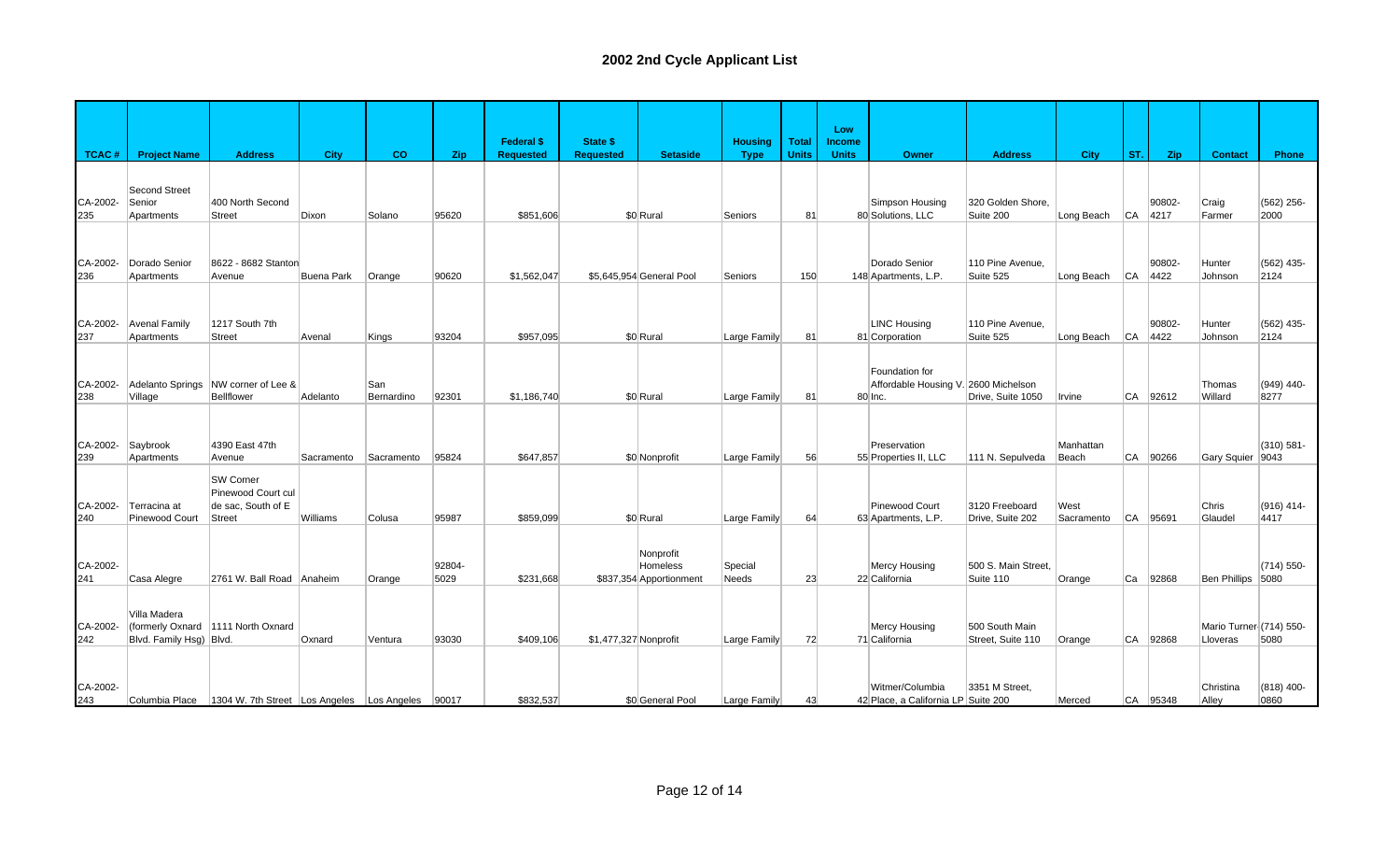|                 |                                         |                                                                 |            |                   |                | <b>Federal \$</b> | State \$              |                                                  | <b>Housing</b>          | <b>Total</b> | Low<br><b>Income</b> |                                                                   |                                     |                    |           |                |                                     |                      |
|-----------------|-----------------------------------------|-----------------------------------------------------------------|------------|-------------------|----------------|-------------------|-----------------------|--------------------------------------------------|-------------------------|--------------|----------------------|-------------------------------------------------------------------|-------------------------------------|--------------------|-----------|----------------|-------------------------------------|----------------------|
| TCAC#           | <b>Project Name</b>                     | <b>Address</b>                                                  | City       | co                | <b>Zip</b>     | <b>Requested</b>  | <b>Requested</b>      | <b>Setaside</b>                                  | <b>Type</b>             | <b>Units</b> | <b>Units</b>         | <b>Owner</b>                                                      | <b>Address</b>                      | <b>City</b>        | ST.       | Zip            | <b>Contact</b>                      | Phone                |
| CA-2002-<br>235 | Second Street<br>Senior<br>Apartments   | 400 North Second<br><b>Street</b>                               | Dixon      | Solano            | 95620          | \$851,606         |                       | \$0 Rural                                        | Seniors                 | 81           |                      | Simpson Housing<br>80 Solutions, LLC                              | 320 Golden Shore.<br>Suite 200      | Long Beach         | CA        | 90802-<br>4217 | Craig<br>Farmer                     | (562) 256-<br>2000   |
|                 |                                         |                                                                 |            |                   |                |                   |                       |                                                  |                         |              |                      |                                                                   |                                     |                    |           |                |                                     |                      |
| CA-2002-<br>236 | Dorado Senior<br>Apartments             | 8622 - 8682 Stanton<br>Avenue                                   | Buena Park | Orange            | 90620          | \$1,562,047       |                       | \$5,645,954 General Pool                         | Seniors                 | 150          |                      | Dorado Senior<br>148 Apartments, L.P.                             | 110 Pine Avenue.<br>Suite 525       | Long Beach         | <b>CA</b> | 90802-<br>4422 | Hunter<br>Johnson                   | (562) 435-<br>2124   |
| CA-2002-<br>237 | <b>Avenal Family</b><br>Apartments      | 1217 South 7th<br><b>Street</b>                                 | Avenal     | Kings             | 93204          | \$957,095         |                       | \$0 Rural                                        | Large Family            | 81           |                      | LINC Housing<br>81 Corporation                                    | 110 Pine Avenue.<br>Suite 525       | Long Beach         | CA        | 90802-<br>4422 | Hunter<br>Johnson                   | (562) 435-<br>2124   |
| CA-2002-<br>238 | Adelanto Springs<br>Village             | NW corner of Lee &<br><b>Bellflower</b>                         | Adelanto   | San<br>Bernardino | 92301          | \$1,186,740       |                       | \$0 Rural                                        | Large Family            | 81           |                      | Foundation for<br>Affordable Housing V. 2600 Michelson<br>80 Inc. | Drive, Suite 1050                   | Irvine             | <b>CA</b> | 92612          | Thomas<br>Willard                   | (949) 440-<br>8277   |
| CA-2002-<br>239 | Saybrook<br>Apartments                  | 4390 East 47th<br>Avenue                                        | Sacramento | Sacramento        | 95824          | \$647,857         |                       | \$0 Nonprofit                                    | Large Family            | 56           |                      | Preservation<br>55 Properties II, LLC                             | 111 N. Sepulveda                    | Manhattan<br>Beach | <b>CA</b> | 90266          | Gary Squier 9043                    | $(310) 581 -$        |
| CA-2002-<br>240 | Terracina at<br>Pinewood Court          | SW Corner<br>Pinewood Court cul<br>de sac, South of E<br>Street | Williams   | Colusa            | 95987          | \$859.099         |                       | \$0 Rural                                        | Large Family            | 64           |                      | Pinewood Court<br>63 Apartments, L.P.                             | 3120 Freeboard<br>Drive. Suite 202  | West<br>Sacramento | <b>CA</b> | 95691          | Chris<br>Glaudel                    | (916) 414-<br>4417   |
| CA-2002-<br>241 | Casa Alegre                             | 2761 W. Ball Road Anaheim                                       |            | Orange            | 92804-<br>5029 | \$231,668         |                       | Nonprofit<br>Homeless<br>\$837,354 Apportionment | Special<br><b>Needs</b> | 23           |                      | Mercy Housing<br>22 California                                    | 500 S. Main Street.<br>Suite 110    | Orange             | lCa       | 92868          | Ben Phillips 5080                   | $(714) 550 -$        |
| CA-2002-<br>242 | Villa Madera<br>Blvd. Family Hsg) Blvd. | (formerly Oxnard 1111 North Oxnard                              | Oxnard     | Ventura           | 93030          | \$409,106         | \$1,477,327 Nonprofit |                                                  | Large Family            | 72           |                      | Mercy Housing<br>71 California                                    | 500 South Main<br>Street, Suite 110 | Orange             | <b>CA</b> | 92868          | Mario Turner (714) 550-<br>Lloveras | 5080                 |
| CA-2002-<br>243 | Columbia Place                          | 1304 W. 7th Street Los Angeles Los Angeles 90017                |            |                   |                | \$832,537         |                       | \$0 General Pool                                 | Large Family            | 43           |                      | Witmer/Columbia<br>42 Place, a California LP Suite 200            | 3351 M Street.                      | Merced             |           | CA 95348       | Christina<br>Alley                  | $(818)$ 400-<br>0860 |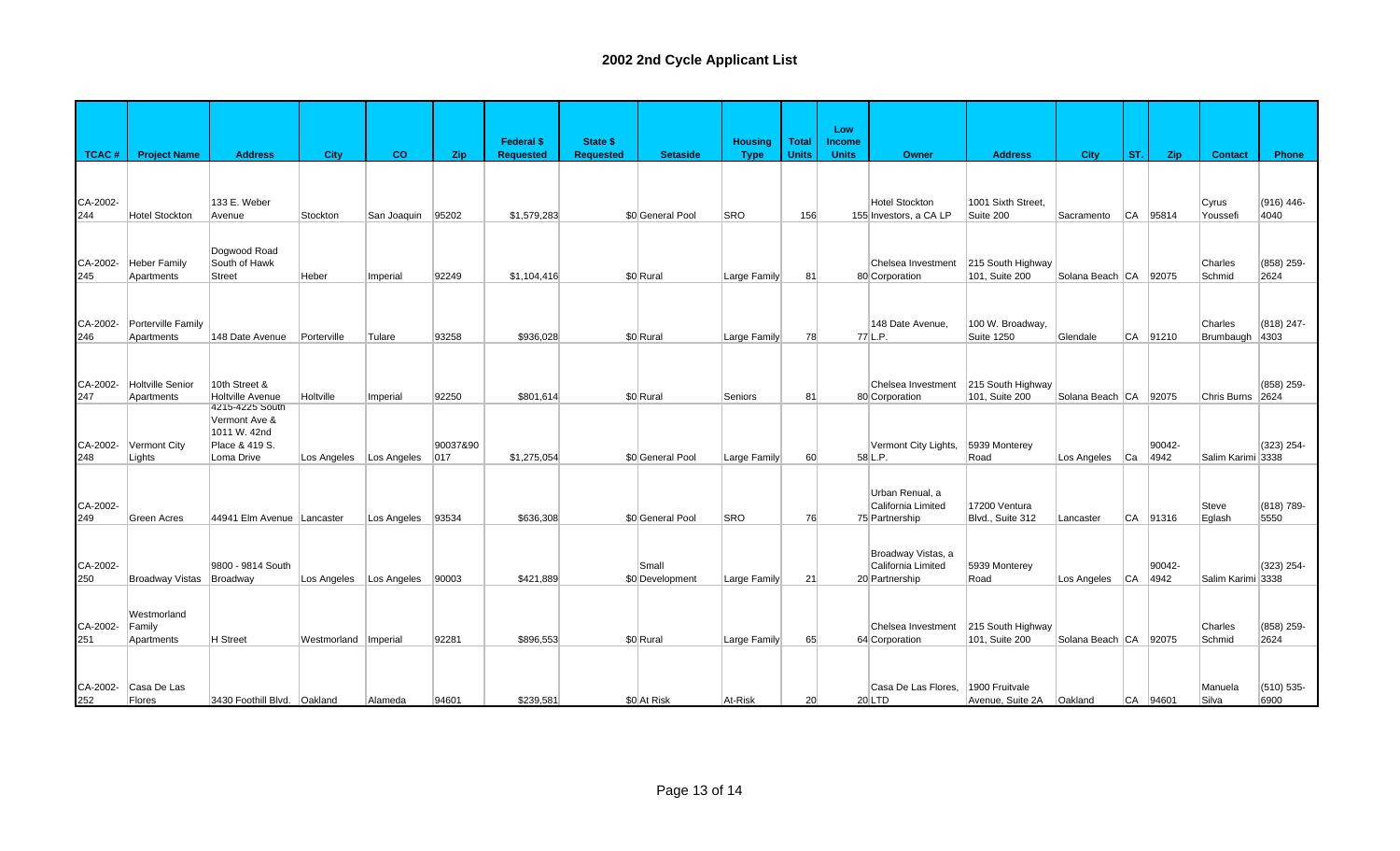|                 |                                     |                                                               |                           |             |                 |                                       |                                     |                          |                               |                              | Low                           |                                                            |                                     |                       |     |                |                           |                    |
|-----------------|-------------------------------------|---------------------------------------------------------------|---------------------------|-------------|-----------------|---------------------------------------|-------------------------------------|--------------------------|-------------------------------|------------------------------|-------------------------------|------------------------------------------------------------|-------------------------------------|-----------------------|-----|----------------|---------------------------|--------------------|
| <b>TCAC#</b>    | <b>Project Name</b>                 | <b>Address</b>                                                | City                      | co          | <b>Zip</b>      | <b>Federal \$</b><br><b>Requested</b> | <b>State \$</b><br><b>Requested</b> | <b>Setaside</b>          | <b>Housing</b><br><b>Type</b> | <b>Total</b><br><b>Units</b> | <b>Income</b><br><b>Units</b> | <b>Owner</b>                                               | <b>Address</b>                      | <b>City</b>           | ST. | Zip            | <b>Contact</b>            | Phone              |
| CA-2002-<br>244 | <b>Hotel Stockton</b>               | 133 E. Weber<br>Avenue                                        | Stockton                  | San Joaquin | 95202           | \$1,579,283                           |                                     | \$0 General Pool         | <b>SRO</b>                    | 156                          |                               | <b>Hotel Stockton</b><br>155 Investors, a CA LP            | 1001 Sixth Street.<br>Suite 200     | Sacramento            |     | $ CA $ 95814   | Cyrus<br>Youssefi         | (916) 446-<br>4040 |
| CA-2002-<br>245 | <b>Heber Family</b><br>Apartments   | Dogwood Road<br>South of Hawk<br><b>Street</b>                | Heber                     | Imperial    | 92249           | \$1,104,416                           |                                     | \$0 Rural                | Large Family                  | 81                           |                               | Chelsea Investment<br>80 Corporation                       | 215 South Highway<br>101, Suite 200 | Solana Beach CA 92075 |     |                | Charles<br>Schmid         | (858) 259-<br>2624 |
| CA-2002-<br>246 | Porterville Family<br>Apartments    | 148 Date Avenue                                               | Porterville               | Tulare      | 93258           | \$936,028                             |                                     | \$0 Rural                | Large Family                  | 78                           |                               | 148 Date Avenue.<br>77 L.P.                                | 100 W. Broadway,<br>Suite 1250      | Glendale              |     | CA 91210       | Charles<br>Brumbaugh 4303 | (818) 247-         |
| CA-2002-<br>247 | Holtville Senior<br>Apartments      | 10th Street &<br><b>Holtville Avenue</b><br>4215-4225 South   | Holtville                 | Imperial    | 92250           | \$801,614                             |                                     | \$0 Rural                | Seniors                       | 81                           |                               | Chelsea Investment<br>80 Corporation                       | 215 South Highway<br>101, Suite 200 | Solana Beach CA 92075 |     |                | Chris Burns 2624          | (858) 259-         |
| CA-2002-<br>248 | Vermont City<br>Lights              | Vermont Ave &<br>1011 W. 42nd<br>Place & 419 S.<br>Loma Drive | Los Angeles               | Los Angeles | 90037&90<br>017 | \$1,275,054                           |                                     | \$0 General Pool         | Large Family                  | 60                           |                               | Vermont City Lights,<br>58 L.P.                            | 5939 Monterey<br>Road               | Los Angeles Ca        |     | 90042-<br>4942 | Salim Karimi 3338         | (323) 254-         |
| CA-2002-<br>249 | <b>Green Acres</b>                  | 44941 Elm Avenue Lancaster                                    |                           | Los Angeles | 93534           | \$636,308                             |                                     | \$0 General Pool         | <b>SRO</b>                    | 76                           |                               | Urban Renual, a<br>California Limited<br>75 Partnership    | 17200 Ventura<br>Blvd., Suite 312   | Lancaster             |     | CA 91316       | Steve<br>Eglash           | (818) 789-<br>5550 |
| CA-2002-<br>250 | Broadway Vistas Broadway            | 9800 - 9814 South                                             | Los Angeles   Los Angeles |             | 90003           | \$421,889                             |                                     | Small<br>\$0 Development | Large Family                  | 21                           |                               | Broadway Vistas, a<br>California Limited<br>20 Partnership | 5939 Monterey<br>Road               | Los Angeles CA        |     | 90042-<br>4942 | Salim Karimi 3338         | (323) 254-         |
| CA-2002-<br>251 | Westmorland<br>Family<br>Apartments | H Street                                                      | Westmorland   Imperial    |             | 92281           | \$896,553                             |                                     | \$0 Rural                | Large Family                  | 65                           |                               | Chelsea Investment<br>64 Corporation                       | 215 South Highway<br>101, Suite 200 | Solana Beach CA 92075 |     |                | Charles<br>Schmid         | (858) 259-<br>2624 |
| CA-2002-<br>252 | Casa De Las<br>Flores               | 3430 Foothill Blvd. Oakland                                   |                           | Alameda     | 94601           | \$239,581                             |                                     | \$0 At Risk              | At-Risk                       | 20                           |                               | Casa De Las Flores,<br>$20$ LTD                            | 1900 Fruitvale<br>Avenue, Suite 2A  | Oakland               |     | CA 94601       | Manuela<br>Silva          | (510) 535-<br>6900 |